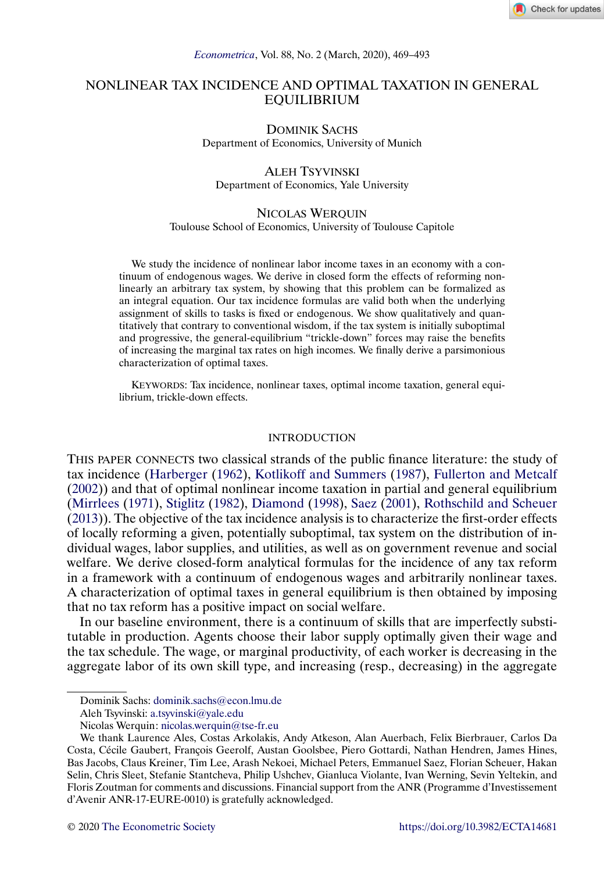

# <span id="page-0-0"></span>NONLINEAR TAX INCIDENCE AND OPTIMAL TAXATION IN GENERAL EQUILIBRIUM

DOMINIK SACHS Department of Economics, University of Munich

# ALEH TSYVINSKI Department of Economics, Yale University

# NICOLAS WERQUIN

Toulouse School of Economics, University of Toulouse Capitole

We study the incidence of nonlinear labor income taxes in an economy with a continuum of endogenous wages. We derive in closed form the effects of reforming nonlinearly an arbitrary tax system, by showing that this problem can be formalized as an integral equation. Our tax incidence formulas are valid both when the underlying assignment of skills to tasks is fixed or endogenous. We show qualitatively and quantitatively that contrary to conventional wisdom, if the tax system is initially suboptimal and progressive, the general-equilibrium "trickle-down" forces may raise the benefits of increasing the marginal tax rates on high incomes. We finally derive a parsimonious characterization of optimal taxes.

KEYWORDS: Tax incidence, nonlinear taxes, optimal income taxation, general equilibrium, trickle-down effects.

### INTRODUCTION

THIS PAPER CONNECTS two classical strands of the public finance literature: the study of tax incidence [\(Harberger](#page-23-0) [\(1962\)](#page-23-0), [Kotlikoff and Summers](#page-23-0) [\(1987\)](#page-23-0), [Fullerton and Metcalf](#page-23-0) [\(2002\)](#page-23-0)) and that of optimal nonlinear income taxation in partial and general equilibrium [\(Mirrlees](#page-24-0) [\(1971\)](#page-24-0), [Stiglitz](#page-24-0) [\(1982\)](#page-24-0), [Diamond](#page-23-0) [\(1998\)](#page-23-0), [Saez](#page-24-0) [\(2001\)](#page-24-0), [Rothschild and Scheuer](#page-24-0) [\(2013\)](#page-24-0)). The objective of the tax incidence analysis is to characterize the first-order effects of locally reforming a given, potentially suboptimal, tax system on the distribution of individual wages, labor supplies, and utilities, as well as on government revenue and social welfare. We derive closed-form analytical formulas for the incidence of any tax reform in a framework with a continuum of endogenous wages and arbitrarily nonlinear taxes. A characterization of optimal taxes in general equilibrium is then obtained by imposing that no tax reform has a positive impact on social welfare.

In our baseline environment, there is a continuum of skills that are imperfectly substitutable in production. Agents choose their labor supply optimally given their wage and the tax schedule. The wage, or marginal productivity, of each worker is decreasing in the aggregate labor of its own skill type, and increasing (resp., decreasing) in the aggregate

Dominik Sachs: [dominik.sachs@econ.lmu.de](mailto:dominik.sachs@econ.lmu.de)

Aleh Tsyvinski: [a.tsyvinski@yale.edu](mailto:a.tsyvinski@yale.edu)

Nicolas Werquin: [nicolas.werquin@tse-fr.eu](mailto:nicolas.werquin@tse-fr.eu)

We thank Laurence Ales, Costas Arkolakis, Andy Atkeson, Alan Auerbach, Felix Bierbrauer, Carlos Da Costa, Cécile Gaubert, François Geerolf, Austan Goolsbee, Piero Gottardi, Nathan Hendren, James Hines, Bas Jacobs, Claus Kreiner, Tim Lee, Arash Nekoei, Michael Peters, Emmanuel Saez, Florian Scheuer, Hakan Selin, Chris Sleet, Stefanie Stantcheva, Philip Ushchev, Gianluca Violante, Ivan Werning, Sevin Yeltekin, and Floris Zoutman for comments and discussions. Financial support from the ANR (Programme d'Investissement d'Avenir ANR-17-EURE-0010) is gratefully acknowledged.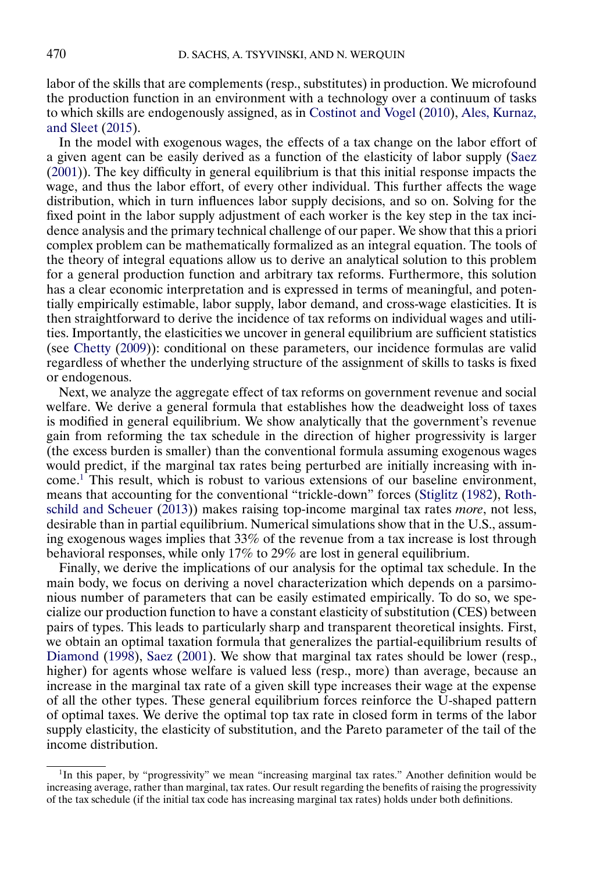<span id="page-1-0"></span>labor of the skills that are complements (resp., substitutes) in production. We microfound the production function in an environment with a technology over a continuum of tasks to which skills are endogenously assigned, as in [Costinot and Vogel](#page-23-0) [\(2010\)](#page-23-0), [Ales, Kurnaz,](#page-23-0) [and Sleet](#page-23-0) [\(2015\)](#page-23-0).

In the model with exogenous wages, the effects of a tax change on the labor effort of a given agent can be easily derived as a function of the elasticity of labor supply [\(Saez](#page-24-0) [\(2001\)](#page-24-0)). The key difficulty in general equilibrium is that this initial response impacts the wage, and thus the labor effort, of every other individual. This further affects the wage distribution, which in turn influences labor supply decisions, and so on. Solving for the fixed point in the labor supply adjustment of each worker is the key step in the tax incidence analysis and the primary technical challenge of our paper. We show that this a priori complex problem can be mathematically formalized as an integral equation. The tools of the theory of integral equations allow us to derive an analytical solution to this problem for a general production function and arbitrary tax reforms. Furthermore, this solution has a clear economic interpretation and is expressed in terms of meaningful, and potentially empirically estimable, labor supply, labor demand, and cross-wage elasticities. It is then straightforward to derive the incidence of tax reforms on individual wages and utilities. Importantly, the elasticities we uncover in general equilibrium are sufficient statistics (see [Chetty](#page-23-0) [\(2009\)](#page-23-0)): conditional on these parameters, our incidence formulas are valid regardless of whether the underlying structure of the assignment of skills to tasks is fixed or endogenous.

Next, we analyze the aggregate effect of tax reforms on government revenue and social welfare. We derive a general formula that establishes how the deadweight loss of taxes is modified in general equilibrium. We show analytically that the government's revenue gain from reforming the tax schedule in the direction of higher progressivity is larger (the excess burden is smaller) than the conventional formula assuming exogenous wages would predict, if the marginal tax rates being perturbed are initially increasing with income.1 This result, which is robust to various extensions of our baseline environment, means that accounting for the conventional "trickle-down" forces [\(Stiglitz](#page-24-0) [\(1982\)](#page-24-0), [Roth](#page-24-0)[schild and Scheuer](#page-24-0) [\(2013\)](#page-24-0)) makes raising top-income marginal tax rates *more*, not less, desirable than in partial equilibrium. Numerical simulations show that in the U.S., assuming exogenous wages implies that 33% of the revenue from a tax increase is lost through behavioral responses, while only 17% to 29% are lost in general equilibrium.

Finally, we derive the implications of our analysis for the optimal tax schedule. In the main body, we focus on deriving a novel characterization which depends on a parsimonious number of parameters that can be easily estimated empirically. To do so, we specialize our production function to have a constant elasticity of substitution (CES) between pairs of types. This leads to particularly sharp and transparent theoretical insights. First, we obtain an optimal taxation formula that generalizes the partial-equilibrium results of [Diamond](#page-23-0) [\(1998\)](#page-23-0), [Saez](#page-24-0) [\(2001\)](#page-24-0). We show that marginal tax rates should be lower (resp., higher) for agents whose welfare is valued less (resp., more) than average, because an increase in the marginal tax rate of a given skill type increases their wage at the expense of all the other types. These general equilibrium forces reinforce the U-shaped pattern of optimal taxes. We derive the optimal top tax rate in closed form in terms of the labor supply elasticity, the elasticity of substitution, and the Pareto parameter of the tail of the income distribution.

<sup>&</sup>lt;sup>1</sup>In this paper, by "progressivity" we mean "increasing marginal tax rates." Another definition would be increasing average, rather than marginal, tax rates. Our result regarding the benefits of raising the progressivity of the tax schedule (if the initial tax code has increasing marginal tax rates) holds under both definitions.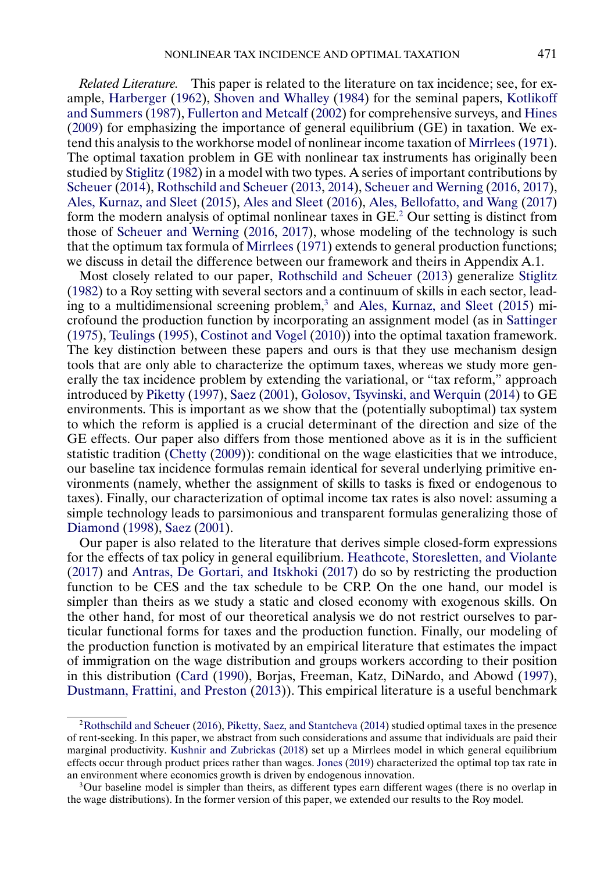<span id="page-2-0"></span>*Related Literature.* This paper is related to the literature on tax incidence; see, for example, [Harberger](#page-23-0) [\(1962\)](#page-23-0), [Shoven and Whalley](#page-24-0) [\(1984\)](#page-24-0) for the seminal papers, [Kotlikoff](#page-23-0) [and Summers](#page-23-0) [\(1987\)](#page-23-0), [Fullerton and Metcalf](#page-23-0) [\(2002\)](#page-23-0) for comprehensive surveys, and [Hines](#page-23-0) [\(2009\)](#page-23-0) for emphasizing the importance of general equilibrium (GE) in taxation. We extend this analysis to the workhorse model of nonlinear income taxation of [Mirrlees](#page-24-0) [\(1971\)](#page-24-0). The optimal taxation problem in GE with nonlinear tax instruments has originally been studied by [Stiglitz](#page-24-0) [\(1982\)](#page-24-0) in a model with two types. A series of important contributions by [Scheuer](#page-24-0) [\(2014\)](#page-24-0), [Rothschild and Scheuer](#page-24-0) [\(2013,](#page-24-0) [2014\)](#page-24-0), [Scheuer and Werning](#page-24-0) [\(2016,](#page-24-0) [2017\)](#page-24-0), [Ales, Kurnaz, and Sleet](#page-23-0) [\(2015\)](#page-23-0), [Ales and Sleet](#page-23-0) [\(2016\)](#page-23-0), [Ales, Bellofatto, and Wang](#page-23-0) [\(2017\)](#page-23-0) form the modern analysis of optimal nonlinear taxes in GE.2 Our setting is distinct from those of [Scheuer and Werning](#page-24-0) [\(2016,](#page-24-0) [2017\)](#page-24-0), whose modeling of the technology is such that the optimum tax formula of [Mirrlees](#page-24-0) [\(1971\)](#page-24-0) extends to general production functions; we discuss in detail the difference between our framework and theirs in Appendix A.1.

Most closely related to our paper, [Rothschild and Scheuer](#page-24-0) [\(2013\)](#page-24-0) generalize [Stiglitz](#page-24-0) [\(1982\)](#page-24-0) to a Roy setting with several sectors and a continuum of skills in each sector, lead-ing to a multidimensional screening problem,<sup>3</sup> and [Ales, Kurnaz, and Sleet](#page-23-0) [\(2015\)](#page-23-0) microfound the production function by incorporating an assignment model (as in [Sattinger](#page-24-0) [\(1975\)](#page-24-0), [Teulings](#page-24-0) [\(1995\)](#page-24-0), [Costinot and Vogel](#page-23-0) [\(2010\)](#page-23-0)) into the optimal taxation framework. The key distinction between these papers and ours is that they use mechanism design tools that are only able to characterize the optimum taxes, whereas we study more generally the tax incidence problem by extending the variational, or "tax reform," approach introduced by [Piketty](#page-24-0) [\(1997\)](#page-24-0), [Saez](#page-24-0) [\(2001\)](#page-24-0), [Golosov, Tsyvinski, and Werquin](#page-23-0) [\(2014\)](#page-23-0) to GE environments. This is important as we show that the (potentially suboptimal) tax system to which the reform is applied is a crucial determinant of the direction and size of the GE effects. Our paper also differs from those mentioned above as it is in the sufficient statistic tradition [\(Chetty](#page-23-0) [\(2009\)](#page-23-0)): conditional on the wage elasticities that we introduce, our baseline tax incidence formulas remain identical for several underlying primitive environments (namely, whether the assignment of skills to tasks is fixed or endogenous to taxes). Finally, our characterization of optimal income tax rates is also novel: assuming a simple technology leads to parsimonious and transparent formulas generalizing those of [Diamond](#page-23-0) [\(1998\)](#page-23-0), [Saez](#page-24-0) [\(2001\)](#page-24-0).

Our paper is also related to the literature that derives simple closed-form expressions for the effects of tax policy in general equilibrium. [Heathcote, Storesletten, and Violante](#page-23-0) [\(2017\)](#page-23-0) and [Antras, De Gortari, and Itskhoki](#page-23-0) [\(2017\)](#page-23-0) do so by restricting the production function to be CES and the tax schedule to be CRP. On the one hand, our model is simpler than theirs as we study a static and closed economy with exogenous skills. On the other hand, for most of our theoretical analysis we do not restrict ourselves to particular functional forms for taxes and the production function. Finally, our modeling of the production function is motivated by an empirical literature that estimates the impact of immigration on the wage distribution and groups workers according to their position in this distribution [\(Card](#page-23-0) [\(1990\)](#page-23-0), Borjas, Freeman, Katz, DiNardo, and Abowd [\(1997\)](#page-23-0), [Dustmann, Frattini, and Preston](#page-23-0) [\(2013\)](#page-23-0)). This empirical literature is a useful benchmark

[<sup>2</sup>Rothschild and Scheuer](#page-24-0) [\(2016\)](#page-24-0), [Piketty, Saez, and Stantcheva](#page-24-0) [\(2014\)](#page-24-0) studied optimal taxes in the presence of rent-seeking. In this paper, we abstract from such considerations and assume that individuals are paid their marginal productivity. [Kushnir and Zubrickas](#page-24-0) [\(2018\)](#page-24-0) set up a Mirrlees model in which general equilibrium effects occur through product prices rather than wages. [Jones](#page-23-0) [\(2019\)](#page-23-0) characterized the optimal top tax rate in an environment where economics growth is driven by endogenous innovation.

<sup>3</sup>Our baseline model is simpler than theirs, as different types earn different wages (there is no overlap in the wage distributions). In the former version of this paper, we extended our results to the Roy model.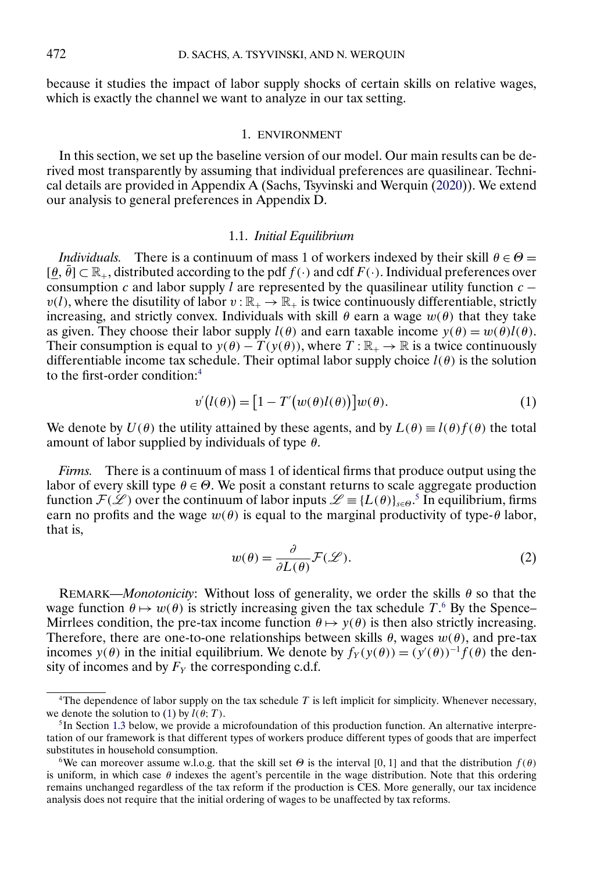<span id="page-3-0"></span>because it studies the impact of labor supply shocks of certain skills on relative wages, which is exactly the channel we want to analyze in our tax setting.

### 1. ENVIRONMENT

In this section, we set up the baseline version of our model. Our main results can be derived most transparently by assuming that individual preferences are quasilinear. Technical details are provided in Appendix A (Sachs, Tsyvinski and Werquin [\(2020\)](#page-24-0)). We extend our analysis to general preferences in Appendix D.

### 1.1. *Initial Equilibrium*

*Individuals.* There is a continuum of mass 1 of workers indexed by their skill  $\theta \in \Theta$  =  $[\theta, \bar{\theta}] \subset \mathbb{R}_+$ , distributed according to the pdf  $f(\cdot)$  and cdf  $F(\cdot)$ . Individual preferences over consumption c and labor supply l are represented by the quasilinear utility function  $c$  $v(l)$ , where the disutility of labor  $v : \mathbb{R}_+ \to \mathbb{R}_+$  is twice continuously differentiable, strictly increasing, and strictly convex. Individuals with skill  $\theta$  earn a wage  $w(\theta)$  that they take as given. They choose their labor supply  $l(\theta)$  and earn taxable income  $y(\theta) = w(\theta)l(\theta)$ . Their consumption is equal to  $y(\theta) - T(y(\theta))$ , where  $T : \mathbb{R}_+ \to \mathbb{R}$  is a twice continuously differentiable income tax schedule. Their optimal labor supply choice  $l(\theta)$  is the solution to the first-order condition:4

$$
v'(l(\theta)) = [1 - T'(w(\theta)l(\theta))]w(\theta).
$$
\n(1)

We denote by  $U(\theta)$  the utility attained by these agents, and by  $L(\theta) \equiv l(\theta) f(\theta)$  the total amount of labor supplied by individuals of type  $\theta$ .

*Firms.* There is a continuum of mass 1 of identical firms that produce output using the labor of every skill type  $\theta \in \Theta$ . We posit a constant returns to scale aggregate production function  $\mathcal{F}(\mathcal{L})$  over the continuum of labor inputs  $\mathcal{L} \equiv \{L(\theta)\}_{\theta \in \Theta}$ .<sup>5</sup> In equilibrium, firms earn no profits and the wage  $w(\theta)$  is equal to the marginal productivity of type- $\theta$  labor, that is,

$$
w(\theta) = \frac{\partial}{\partial L(\theta)} \mathcal{F}(\mathcal{L}).
$$
\n(2)

REMARK—*Monotonicity*: Without loss of generality, we order the skills  $\theta$  so that the wage function  $\theta \mapsto w(\theta)$  is strictly increasing given the tax schedule T.<sup>6</sup> By the Spence– Mirrlees condition, the pre-tax income function  $\theta \mapsto y(\theta)$  is then also strictly increasing. Therefore, there are one-to-one relationships between skills  $\theta$ , wages  $w(\theta)$ , and pre-tax incomes  $y(\theta)$  in the initial equilibrium. We denote by  $f_Y(y(\theta)) = (y'(\theta))^{-1} f(\theta)$  the density of incomes and by  $F<sub>Y</sub>$  the corresponding c.d.f.

<sup>&</sup>lt;sup>4</sup>The dependence of labor supply on the tax schedule  $T$  is left implicit for simplicity. Whenever necessary, we denote the solution to (1) by  $\hat{l}(\hat{\theta};T)$ .

 ${}^{5}$ In Section [1.3](#page-6-0) below, we provide a microfoundation of this production function. An alternative interpretation of our framework is that different types of workers produce different types of goods that are imperfect substitutes in household consumption.

<sup>&</sup>lt;sup>6</sup>We can moreover assume w.l.o.g. that the skill set  $\Theta$  is the interval [0, 1] and that the distribution  $f(\theta)$ is uniform, in which case  $\theta$  indexes the agent's percentile in the wage distribution. Note that this ordering remains unchanged regardless of the tax reform if the production is CES. More generally, our tax incidence analysis does not require that the initial ordering of wages to be unaffected by tax reforms.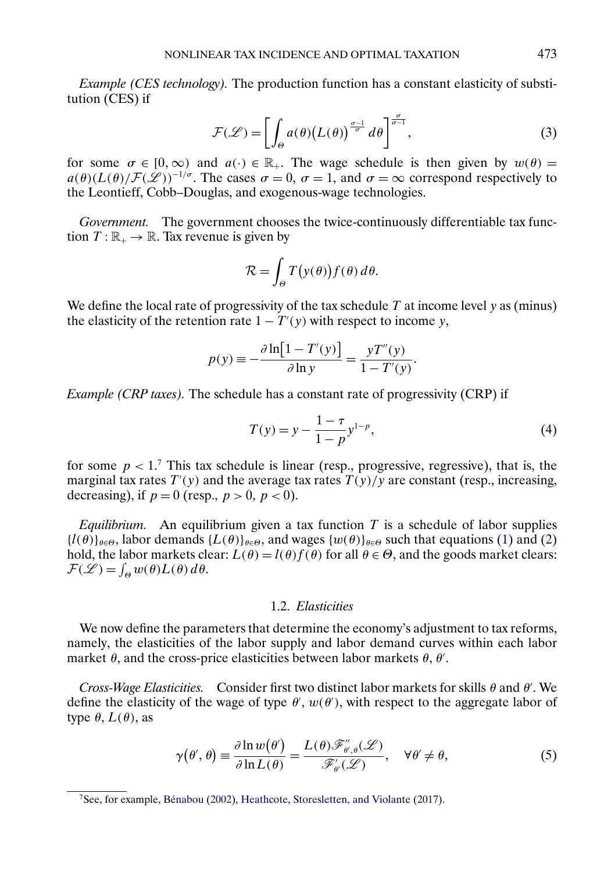<span id="page-4-0"></span>*Example (CES technology).* The production function has a constant elasticity of substitution (CES) if

$$
\mathcal{F}(\mathcal{L}) = \left[ \int_{\Theta} a(\theta) \big( L(\theta) \big)^{\frac{\sigma - 1}{\sigma}} d\theta \right]^{\frac{\sigma}{\sigma - 1}},\tag{3}
$$

for some  $\sigma \in [0,\infty)$  and  $a(\cdot) \in \mathbb{R}_+$ . The wage schedule is then given by  $w(\theta) =$  $a(\theta)(L(\theta)/\mathcal{F}(\mathscr{L}))^{-1/\sigma}$ . The cases  $\sigma = 0$ ,  $\sigma = 1$ , and  $\sigma = \infty$  correspond respectively to the Leontieff, Cobb–Douglas, and exogenous-wage technologies.

*Government.* The government chooses the twice-continuously differentiable tax function  $T : \mathbb{R}_+ \to \mathbb{R}$ . Tax revenue is given by

$$
\mathcal{R} = \int_{\Theta} T(y(\theta)) f(\theta) d\theta.
$$

We define the local rate of progressivity of the tax schedule  $T$  at income level  $y$  as (minus) the elasticity of the retention rate  $1 - T'(y)$  with respect to income y,

$$
p(y) \equiv -\frac{\partial \ln[1 - T'(y)]}{\partial \ln y} = \frac{yT''(y)}{1 - T'(y)}.
$$

*Example (CRP taxes).* The schedule has a constant rate of progressivity (CRP) if

$$
T(y) = y - \frac{1 - \tau}{1 - p} y^{1 - p},
$$
\n(4)

for some  $p < 1$ .<sup>7</sup> This tax schedule is linear (resp., progressive, regressive), that is, the marginal tax rates  $T'(y)$  and the average tax rates  $T(y)/y$  are constant (resp., increasing, decreasing), if  $p = 0$  (resp.,  $p > 0$ ,  $p < 0$ ).

*Equilibrium.* An equilibrium given a tax function  $T$  is a schedule of labor supplies  ${l(\theta)}_{\theta \in \Theta}$ , labor demands  ${L(\theta)}_{\theta \in \Theta}$ , and wages  ${w(\theta)}_{\theta \in \Theta}$  such that equations [\(1\)](#page-3-0) and [\(2\)](#page-3-0) hold, the labor markets clear:  $L(\theta) = l(\theta) f(\theta)$  for all  $\theta \in \Theta$ , and the goods market clears:  $\mathcal{F}(\mathscr{L}) = \int_{\Theta} w(\theta) L(\theta) d\theta.$ 

### 1.2. *Elasticities*

We now define the parameters that determine the economy's adjustment to tax reforms, namely, the elasticities of the labor supply and labor demand curves within each labor market  $\theta$ , and the cross-price elasticities between labor markets  $\theta$ ,  $\theta'$ .

*Cross-Wage Elasticities.* Consider first two distinct labor markets for skills θ and θ . We define the elasticity of the wage of type  $\theta'$ ,  $w(\theta')$ , with respect to the aggregate labor of type  $\theta$ ,  $L(\theta)$ , as

$$
\gamma(\theta', \theta) \equiv \frac{\partial \ln w(\theta')}{\partial \ln L(\theta)} = \frac{L(\theta) \mathcal{F}_{\theta', \theta}'(\mathcal{L})}{\mathcal{F}_{\theta'}(\mathcal{L})}, \quad \forall \theta' \neq \theta,
$$
\n(5)

<sup>7</sup>See, for example, [Bénabou](#page-23-0) [\(2002\)](#page-23-0), [Heathcote, Storesletten, and Violante](#page-23-0) [\(2017\)](#page-23-0).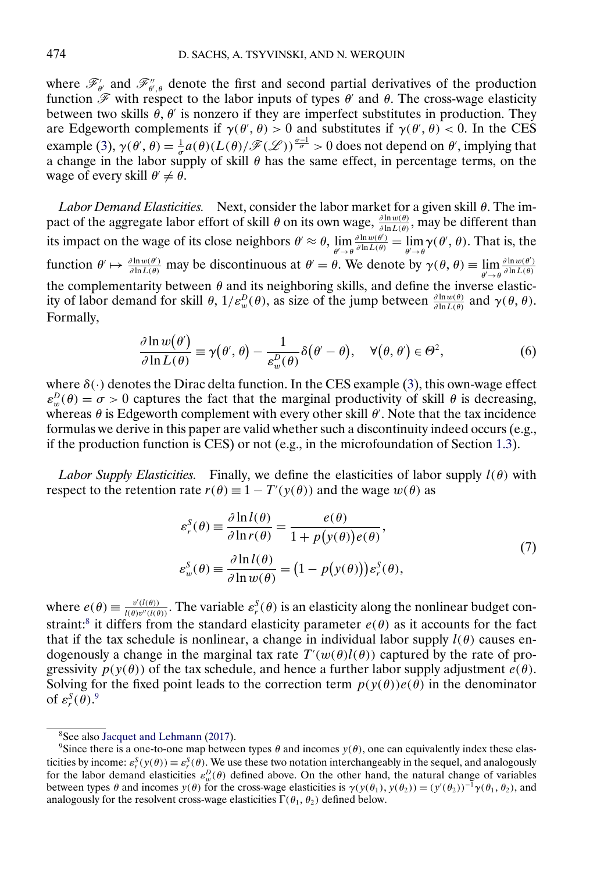<span id="page-5-0"></span>where  $\mathscr{F}'_{\theta'}$  and  $\mathscr{F}''_{\theta',\theta}$  denote the first and second partial derivatives of the production function  $\mathscr F$  with respect to the labor inputs of types  $\theta'$  and  $\theta$ . The cross-wage elasticity between two skills  $\theta$ ,  $\theta'$  is nonzero if they are imperfect substitutes in production. They are Edgeworth complements if  $\gamma(\theta', \theta) > 0$  and substitutes if  $\gamma(\theta', \theta) < 0$ . In the CES example [\(3\)](#page-4-0),  $\gamma(\theta', \theta) = \frac{1}{\sigma} a(\theta) (L(\theta)/\mathscr{F}(\mathscr{L}))^{\frac{\sigma-1}{\sigma}} > 0$  does not depend on  $\theta'$ , implying that a change in the labor supply of skill  $\theta$  has the same effect, in percentage terms, on the wage of every skill  $\theta' \neq \theta$ .

*Labor Demand Elasticities.* Next, consider the labor market for a given skill θ. The impact of the aggregate labor effort of skill  $\theta$  on its own wage,  $\frac{\partial \ln w(\theta)}{\partial \ln L(\theta)}$ , may be different than its impact on the wage of its close neighbors  $\theta' \approx \theta$ ,  $\lim_{\theta' \to \theta}$  $\frac{\partial \ln w(\theta')}{\partial \ln L(\theta)} = \lim_{\theta' \to \theta} \gamma(\theta', \theta)$ . That is, the function  $\theta' \mapsto \frac{\partial \ln w(\theta')}{\partial \ln L(\theta)}$  may be discontinuous at  $\theta' = \theta$ . We denote by  $\gamma(\theta, \theta) \equiv \lim_{\theta' \to \theta}$  $\partial \ln w(\theta')$  $\partial \ln L(\theta)$ the complementarity between  $\theta$  and its neighboring skills, and define the inverse elasticity of labor demand for skill  $\theta$ ,  $1/\varepsilon_w^D(\theta)$ , as size of the jump between  $\frac{\partial \ln w(\theta)}{\partial \ln L(\theta)}$  and  $\gamma(\theta, \theta)$ . Formally,

$$
\frac{\partial \ln w(\theta')}{\partial \ln L(\theta)} \equiv \gamma(\theta', \theta) - \frac{1}{\varepsilon_w^D(\theta)} \delta(\theta' - \theta), \quad \forall (\theta, \theta') \in \Theta^2,
$$
\n(6)

where  $\delta(\cdot)$  denotes the Dirac delta function. In the CES example [\(3\)](#page-4-0), this own-wage effect  $\varepsilon_w^D(\theta) = \sigma > 0$  captures the fact that the marginal productivity of skill  $\theta$  is decreasing, whereas  $\theta$  is Edgeworth complement with every other skill  $\theta'$ . Note that the tax incidence formulas we derive in this paper are valid whether such a discontinuity indeed occurs (e.g., if the production function is CES) or not (e.g., in the microfoundation of Section [1.3\)](#page-6-0).

*Labor Supply Elasticities.* Finally, we define the elasticities of labor supply  $l(\theta)$  with respect to the retention rate  $r(\theta) \equiv 1 - T'(y(\theta))$  and the wage  $w(\theta)$  as

$$
\varepsilon_r^S(\theta) \equiv \frac{\partial \ln l(\theta)}{\partial \ln r(\theta)} = \frac{e(\theta)}{1 + p(y(\theta))e(\theta)},
$$
  
\n
$$
\varepsilon_w^S(\theta) \equiv \frac{\partial \ln l(\theta)}{\partial \ln w(\theta)} = (1 - p(y(\theta)))\varepsilon_r^S(\theta),
$$
\n(7)

where  $e(\theta) \equiv \frac{v'(l(\theta))}{l(\theta)v''(l(\theta))}$ . The variable  $\varepsilon_r^S(\theta)$  is an elasticity along the nonlinear budget constraint:<sup>8</sup> it differs from the standard elasticity parameter  $e(\theta)$  as it accounts for the fact that if the tax schedule is nonlinear, a change in individual labor supply  $l(\theta)$  causes endogenously a change in the marginal tax rate  $T'(w(\theta)l(\theta))$  captured by the rate of progressivity  $p(y(\theta))$  of the tax schedule, and hence a further labor supply adjustment  $e(\theta)$ . Solving for the fixed point leads to the correction term  $p(y(\theta))e(\theta)$  in the denominator of  $\varepsilon_r^{\mathcal{S}}(\theta)$ .<sup>9</sup>

<sup>8</sup>See also [Jacquet and Lehmann](#page-23-0) [\(2017\)](#page-23-0).

<sup>&</sup>lt;sup>9</sup>Since there is a one-to-one map between types  $\theta$  and incomes  $y(\theta)$ , one can equivalently index these elasticities by income:  $\varepsilon_r^S(y(\theta)) \equiv \varepsilon_r^S(\theta)$ . We use these two notation interchangeably in the sequel, and analogously for the labor demand elasticities  $\varepsilon_w^D(\theta)$  defined above. On the other hand, the natural change of variables between types  $\theta$  and incomes  $y(\theta)$  for the cross-wage elasticities is  $\gamma(y(\theta_1), y(\theta_2)) = (y'(\theta_2))^{-1} \gamma(\theta_1, \theta_2)$ , and analogously for the resolvent cross-wage elasticities  $\Gamma(\theta_1, \theta_2)$  defined below.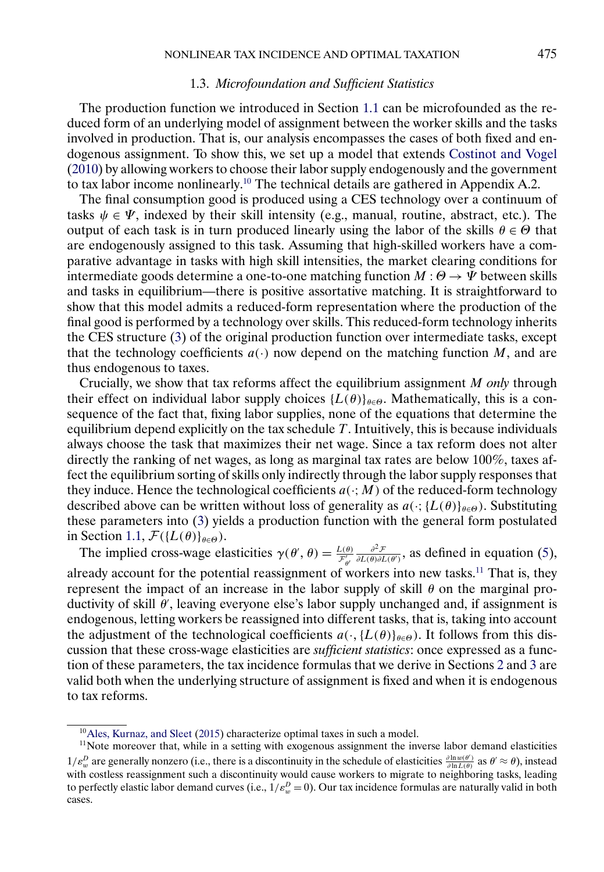### 1.3. *Microfoundation and Sufficient Statistics*

<span id="page-6-0"></span>The production function we introduced in Section [1.1](#page-3-0) can be microfounded as the reduced form of an underlying model of assignment between the worker skills and the tasks involved in production. That is, our analysis encompasses the cases of both fixed and endogenous assignment. To show this, we set up a model that extends [Costinot and Vogel](#page-23-0) [\(2010\)](#page-23-0) by allowing workers to choose their labor supply endogenously and the government to tax labor income nonlinearly.10 The technical details are gathered in Appendix A.2.

The final consumption good is produced using a CES technology over a continuum of tasks  $\psi \in \Psi$ , indexed by their skill intensity (e.g., manual, routine, abstract, etc.). The output of each task is in turn produced linearly using the labor of the skills  $\theta \in \Theta$  that are endogenously assigned to this task. Assuming that high-skilled workers have a comparative advantage in tasks with high skill intensities, the market clearing conditions for intermediate goods determine a one-to-one matching function  $M : \Theta \to \Psi$  between skills and tasks in equilibrium—there is positive assortative matching. It is straightforward to show that this model admits a reduced-form representation where the production of the final good is performed by a technology over skills. This reduced-form technology inherits the CES structure [\(3\)](#page-4-0) of the original production function over intermediate tasks, except that the technology coefficients  $a(\cdot)$  now depend on the matching function M, and are thus endogenous to taxes.

Crucially, we show that tax reforms affect the equilibrium assignment M *only* through their effect on individual labor supply choices  $\{L(\theta)\}_{\theta \in \Theta}$ . Mathematically, this is a consequence of the fact that, fixing labor supplies, none of the equations that determine the equilibrium depend explicitly on the tax schedule  $T$ . Intuitively, this is because individuals always choose the task that maximizes their net wage. Since a tax reform does not alter directly the ranking of net wages, as long as marginal tax rates are below 100%, taxes affect the equilibrium sorting of skills only indirectly through the labor supply responses that they induce. Hence the technological coefficients  $a(\cdot; M)$  of the reduced-form technology described above can be written without loss of generality as  $a(\cdot;{L(\theta)}_{\theta \in \Theta})$ . Substituting these parameters into [\(3\)](#page-4-0) yields a production function with the general form postulated in Section [1.1,](#page-3-0)  $\mathcal{F}(\{L(\theta)\}_{\theta \in \Theta})$ .

The implied cross-wage elasticities  $\gamma(\theta', \theta) = \frac{L(\theta)}{\mathcal{F}_{\theta'}}$  $\frac{\partial^2 \mathcal{F}}{\partial L(\theta) \partial L(\theta')}$ , as defined in equation [\(5\)](#page-4-0), already account for the potential reassignment of workers into new tasks.<sup>11</sup> That is, they represent the impact of an increase in the labor supply of skill  $\theta$  on the marginal productivity of skill θ , leaving everyone else's labor supply unchanged and, if assignment is endogenous, letting workers be reassigned into different tasks, that is, taking into account the adjustment of the technological coefficients  $a(\cdot, \{L(\theta)\}_{\theta \in \Theta})$ . It follows from this discussion that these cross-wage elasticities are *sufficient statistics*: once expressed as a function of these parameters, the tax incidence formulas that we derive in Sections [2](#page-7-0) and [3](#page-12-0) are valid both when the underlying structure of assignment is fixed and when it is endogenous to tax reforms.

 $10$ Ales, Kurnaz, and Sleet [\(2015\)](#page-23-0) characterize optimal taxes in such a model.

 $11$ Note moreover that, while in a setting with exogenous assignment the inverse labor demand elasticities  $1/\varepsilon_w^D$  are generally nonzero (i.e., there is a discontinuity in the schedule of elasticities  $\frac{\partial \ln w(\theta')}{\partial \ln L(\theta)}$  as  $\theta' \approx \theta$ ), instead with costless reassignment such a discontinuity would cause workers to migrate to neighboring tasks, leading to perfectly elastic labor demand curves (i.e.,  $1/\varepsilon_w^D = 0$ ). Our tax incidence formulas are naturally valid in both cases.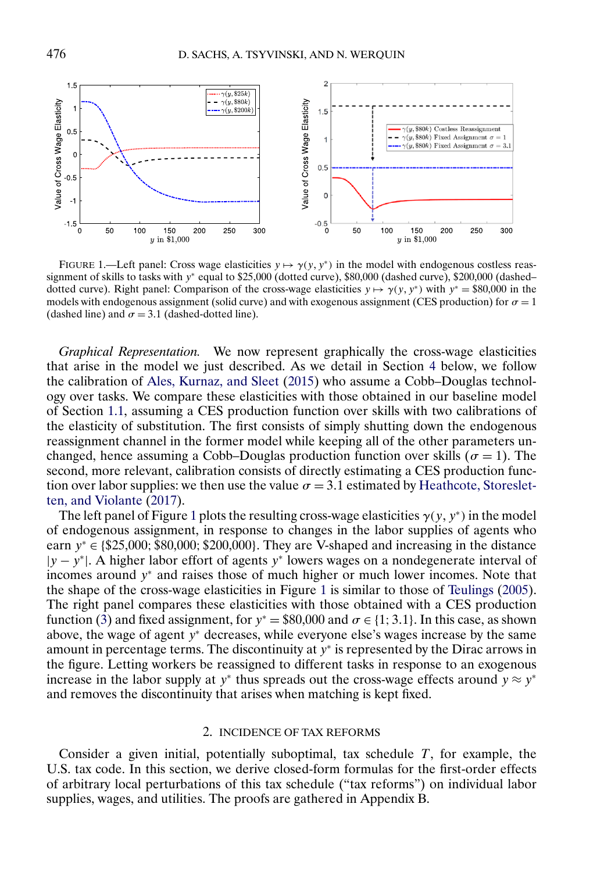<span id="page-7-0"></span>

FIGURE 1.—Left panel: Cross wage elasticities  $y \mapsto \gamma(y, y^*)$  in the model with endogenous costless reassignment of skills to tasks with y<sup>∗</sup> equal to \$25,000 (dotted curve), \$80,000 (dashed curve), \$200,000 (dashed– dotted curve). Right panel: Comparison of the cross-wage elasticities  $y \mapsto \gamma(y, y^*)$  with  $y^* = $80,000$  in the models with endogenous assignment (solid curve) and with exogenous assignment (CES production) for  $\sigma = 1$ (dashed line) and  $\sigma = 3.1$  (dashed-dotted line).

*Graphical Representation.* We now represent graphically the cross-wage elasticities that arise in the model we just described. As we detail in Section [4](#page-16-0) below, we follow the calibration of [Ales, Kurnaz, and Sleet](#page-23-0) [\(2015\)](#page-23-0) who assume a Cobb–Douglas technology over tasks. We compare these elasticities with those obtained in our baseline model of Section [1.1,](#page-3-0) assuming a CES production function over skills with two calibrations of the elasticity of substitution. The first consists of simply shutting down the endogenous reassignment channel in the former model while keeping all of the other parameters unchanged, hence assuming a Cobb–Douglas production function over skills ( $\sigma = 1$ ). The second, more relevant, calibration consists of directly estimating a CES production function over labor supplies: we then use the value  $\sigma = 3.1$  estimated by [Heathcote, Storeslet](#page-23-0)[ten, and Violante](#page-23-0) [\(2017\)](#page-23-0).

The left panel of Figure 1 plots the resulting cross-wage elasticities  $\gamma(y, y^*)$  in the model of endogenous assignment, in response to changes in the labor supplies of agents who earn  $y^* \in \{ $25,000; $80,000; $200,000\}$ . They are V-shaped and increasing in the distance  $|y - y^*|$ . A higher labor effort of agents y<sup>∗</sup> lowers wages on a nondegenerate interval of incomes around y<sup>∗</sup> and raises those of much higher or much lower incomes. Note that the shape of the cross-wage elasticities in Figure 1 is similar to those of [Teulings](#page-24-0) [\(2005\)](#page-24-0). The right panel compares these elasticities with those obtained with a CES production function [\(3\)](#page-4-0) and fixed assignment, for  $y^* = $80,000$  and  $\sigma \in \{1, 3.1\}$ . In this case, as shown above, the wage of agent  $y^*$  decreases, while everyone else's wages increase by the same amount in percentage terms. The discontinuity at  $y<sup>*</sup>$  is represented by the Dirac arrows in the figure. Letting workers be reassigned to different tasks in response to an exogenous increase in the labor supply at y<sup>∗</sup> thus spreads out the cross-wage effects around  $y \approx y^*$ and removes the discontinuity that arises when matching is kept fixed.

### 2. INCIDENCE OF TAX REFORMS

Consider a given initial, potentially suboptimal, tax schedule  $T$ , for example, the U.S. tax code. In this section, we derive closed-form formulas for the first-order effects of arbitrary local perturbations of this tax schedule ("tax reforms") on individual labor supplies, wages, and utilities. The proofs are gathered in Appendix B.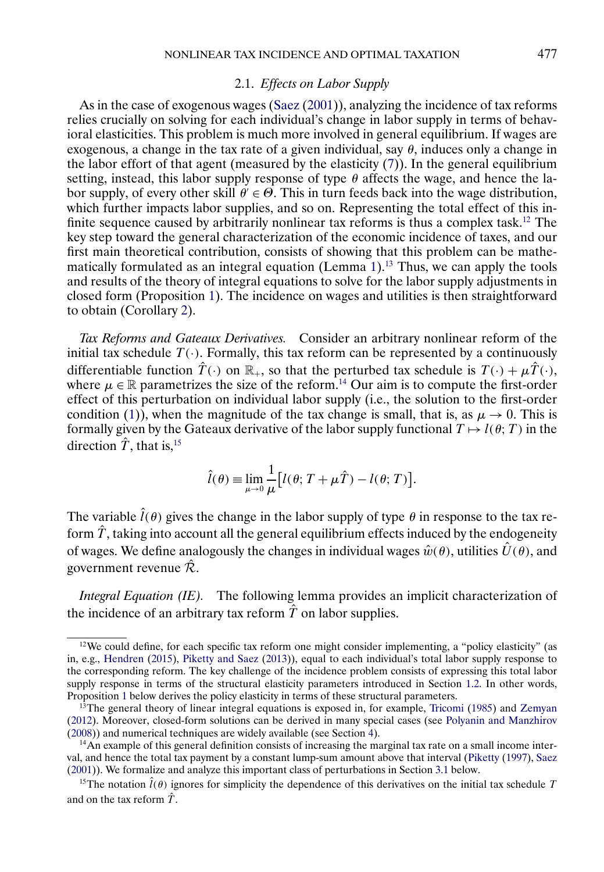#### 2.1. *Effects on Labor Supply*

<span id="page-8-0"></span>As in the case of exogenous wages [\(Saez](#page-24-0) [\(2001\)](#page-24-0)), analyzing the incidence of tax reforms relies crucially on solving for each individual's change in labor supply in terms of behavioral elasticities. This problem is much more involved in general equilibrium. If wages are exogenous, a change in the tax rate of a given individual, say  $\theta$ , induces only a change in the labor effort of that agent (measured by the elasticity  $(7)$ ). In the general equilibrium setting, instead, this labor supply response of type  $\theta$  affects the wage, and hence the labor supply, of every other skill  $\theta \in \Theta$ . This in turn feeds back into the wage distribution, which further impacts labor supplies, and so on. Representing the total effect of this infinite sequence caused by arbitrarily nonlinear tax reforms is thus a complex task.<sup>12</sup> The key step toward the general characterization of the economic incidence of taxes, and our first main theoretical contribution, consists of showing that this problem can be mathematically formulated as an integral equation (Lemma  $1$ ).<sup>13</sup> Thus, we can apply the tools and results of the theory of integral equations to solve for the labor supply adjustments in closed form (Proposition [1\)](#page-9-0). The incidence on wages and utilities is then straightforward to obtain (Corollary [2\)](#page-11-0).

*Tax Reforms and Gateaux Derivatives.* Consider an arbitrary nonlinear reform of the initial tax schedule  $T(\cdot)$ . Formally, this tax reform can be represented by a continuously differentiable function  $\hat{T}(\cdot)$  on  $\mathbb{R}_+$ , so that the perturbed tax schedule is  $T(\cdot) + \mu \hat{T}(\cdot)$ , where  $\mu \in \mathbb{R}$  parametrizes the size of the reform.<sup>14</sup> Our aim is to compute the first-order effect of this perturbation on individual labor supply (i.e., the solution to the first-order condition [\(1\)](#page-3-0)), when the magnitude of the tax change is small, that is, as  $\mu \to 0$ . This is formally given by the Gateaux derivative of the labor supply functional  $T \mapsto l(\theta;T)$  in the direction  $\hat{T}$ , that is, <sup>15</sup>

$$
\hat{l}(\theta) \equiv \lim_{\mu \to 0} \frac{1}{\mu} [l(\theta; T + \mu \hat{T}) - l(\theta; T)].
$$

The variable  $\hat{l}(\theta)$  gives the change in the labor supply of type  $\theta$  in response to the tax reform  $\hat{T}$ , taking into account all the general equilibrium effects induced by the endogeneity of wages. We define analogously the changes in individual wages  $\hat{w}(\theta)$ , utilities  $\hat{U}(\theta)$ , and government revenue  $\hat{\mathcal{R}}$ .

*Integral Equation (IE).* The following lemma provides an implicit characterization of the incidence of an arbitrary tax reform  $\hat{T}$  on labor supplies.

 $12$ We could define, for each specific tax reform one might consider implementing, a "policy elasticity" (as in, e.g., [Hendren](#page-23-0) [\(2015\)](#page-23-0), [Piketty and Saez](#page-24-0) [\(2013\)](#page-24-0)), equal to each individual's total labor supply response to the corresponding reform. The key challenge of the incidence problem consists of expressing this total labor supply response in terms of the structural elasticity parameters introduced in Section [1.2.](#page-4-0) In other words, Proposition [1](#page-9-0) below derives the policy elasticity in terms of these structural parameters.

<sup>&</sup>lt;sup>13</sup>The general theory of linear integral equations is exposed in, for example, [Tricomi](#page-24-0) [\(1985\)](#page-24-0) and [Zemyan](#page-24-0) [\(2012\)](#page-24-0). Moreover, closed-form solutions can be derived in many special cases (see [Polyanin and Manzhirov](#page-24-0) [\(2008\)](#page-24-0)) and numerical techniques are widely available (see Section [4\)](#page-16-0).

<sup>&</sup>lt;sup>14</sup>An example of this general definition consists of increasing the marginal tax rate on a small income interval, and hence the total tax payment by a constant lump-sum amount above that interval [\(Piketty](#page-24-0) [\(1997\)](#page-24-0), [Saez](#page-24-0) [\(2001\)](#page-24-0)). We formalize and analyze this important class of perturbations in Section [3.1](#page-12-0) below.

<sup>&</sup>lt;sup>15</sup>The notation  $\hat{l}(\theta)$  ignores for simplicity the dependence of this derivatives on the initial tax schedule T and on the tax reform  $\hat{T}$ .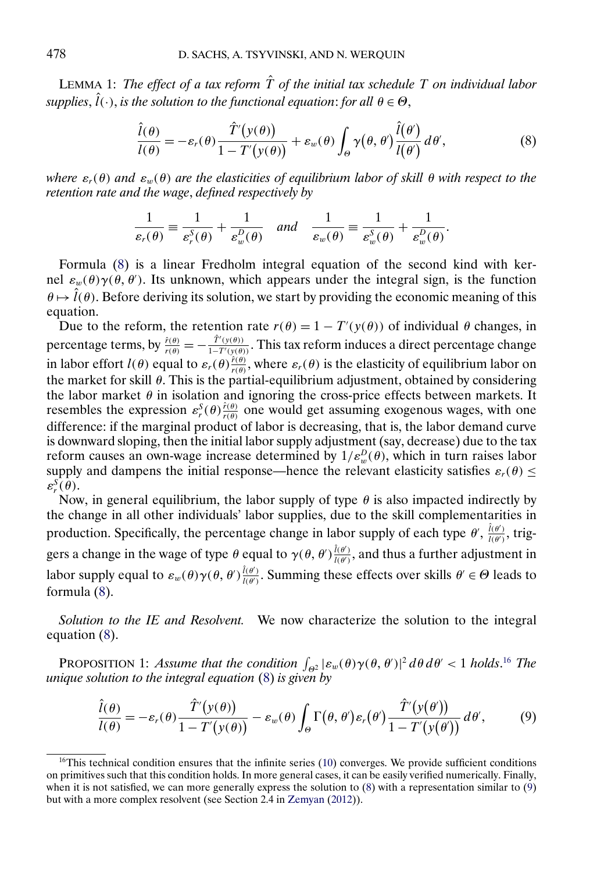<span id="page-9-0"></span>LEMMA 1: *The effect of a tax reform*  $\hat{T}$  *of the initial tax schedule*  $T$  *on individual labor*  $supplies, \hat{l}(\cdot),$  *is the solution to the functional equation: for all*  $\theta \in \Theta$ ,

$$
\frac{\hat{l}(\theta)}{l(\theta)} = -\varepsilon_r(\theta) \frac{\hat{T}'(y(\theta))}{1 - T'(y(\theta))} + \varepsilon_w(\theta) \int_{\Theta} \gamma(\theta, \theta') \frac{\hat{l}(\theta')}{l(\theta)} d\theta',\tag{8}
$$

*where*  $\varepsilon_r(\theta)$  *and*  $\varepsilon_w(\theta)$  *are the elasticities of equilibrium labor of skill*  $\theta$  *with respect to the retention rate and the wage*, *defined respectively by*

$$
\frac{1}{\varepsilon_r(\theta)} \equiv \frac{1}{\varepsilon_r^S(\theta)} + \frac{1}{\varepsilon_w^D(\theta)} \quad \text{and} \quad \frac{1}{\varepsilon_w(\theta)} \equiv \frac{1}{\varepsilon_w^S(\theta)} + \frac{1}{\varepsilon_w^D(\theta)}.
$$

Formula (8) is a linear Fredholm integral equation of the second kind with kernel  $\varepsilon_w(\theta)\gamma(\theta, \theta')$ . Its unknown, which appears under the integral sign, is the function  $\theta \mapsto \hat{l}(\theta)$ . Before deriving its solution, we start by providing the economic meaning of this equation.

Due to the reform, the retention rate  $r(\theta) = 1 - T'(y(\theta))$  of individual  $\theta$  changes, in percentage terms, by  $\frac{\hat{r}(\theta)}{r(\theta)} = -\frac{\hat{T}'(y(\theta))}{1-T'(y(\theta))}$ . This tax reform induces a direct percentage change in labor effort  $l(\theta)$  equal to  $\varepsilon_r(\theta) \frac{\hat{r}(\theta)}{r(\theta)}$ , where  $\varepsilon_r(\theta)$  is the elasticity of equilibrium labor on the market for skill  $\theta$ . This is the partial-equilibrium adjustment, obtained by considering the labor market  $\theta$  in isolation and ignoring the cross-price effects between markets. It resembles the expression  $\varepsilon_r^S(\theta) \frac{\hat{r}(\theta)}{r(\theta)}$  one would get assuming exogenous wages, with one difference: if the marginal product of labor is decreasing, that is, the labor demand curve is downward sloping, then the initial labor supply adjustment (say, decrease) due to the tax reform causes an own-wage increase determined by  $1/\varepsilon_w^D(\theta)$ , which in turn raises labor supply and dampens the initial response—hence the relevant elasticity satisfies  $\varepsilon_r(\theta) \leq$  $\varepsilon_r^{\mathcal{S}}(\theta).$ 

Now, in general equilibrium, the labor supply of type  $\theta$  is also impacted indirectly by the change in all other individuals' labor supplies, due to the skill complementarities in production. Specifically, the percentage change in labor supply of each type  $\theta'$ ,  $\frac{\hat{l}(\theta')}{l(\theta')}$ , triggers a change in the wage of type  $\theta$  equal to  $\gamma(\theta, \theta') \frac{\hat{l}(\theta')}{l(\theta')}$ , and thus a further adjustment in labor supply equal to  $\varepsilon_w(\theta)\gamma(\theta,\theta')\frac{\hat{l}(\theta')}{l(\theta')}$ . Summing these effects over skills  $\theta' \in \Theta$  leads to formula (8).

*Solution to the IE and Resolvent.* We now characterize the solution to the integral equation (8).

PROPOSITION 1: *Assume that the condition*  $\int_{\Theta^2} |\varepsilon_w(\theta)\gamma(\theta, \theta')|^2 d\theta d\theta' < 1$  *holds*.<sup>16</sup> *The unique solution to the integral equation* (8) *is given by*

$$
\frac{\hat{l}(\theta)}{l(\theta)} = -\varepsilon_r(\theta) \frac{\hat{T}'(y(\theta))}{1 - T'(y(\theta))} - \varepsilon_w(\theta) \int_{\Theta} \Gamma(\theta, \theta') \varepsilon_r(\theta') \frac{\hat{T}'(y(\theta'))}{1 - T'(y(\theta'))} d\theta', \tag{9}
$$

 $16$ This technical condition ensures that the infinite series [\(10\)](#page-10-0) converges. We provide sufficient conditions on primitives such that this condition holds. In more general cases, it can be easily verified numerically. Finally, when it is not satisfied, we can more generally express the solution to (8) with a representation similar to (9) but with a more complex resolvent (see Section 2.4 in [Zemyan](#page-24-0) [\(2012\)](#page-24-0)).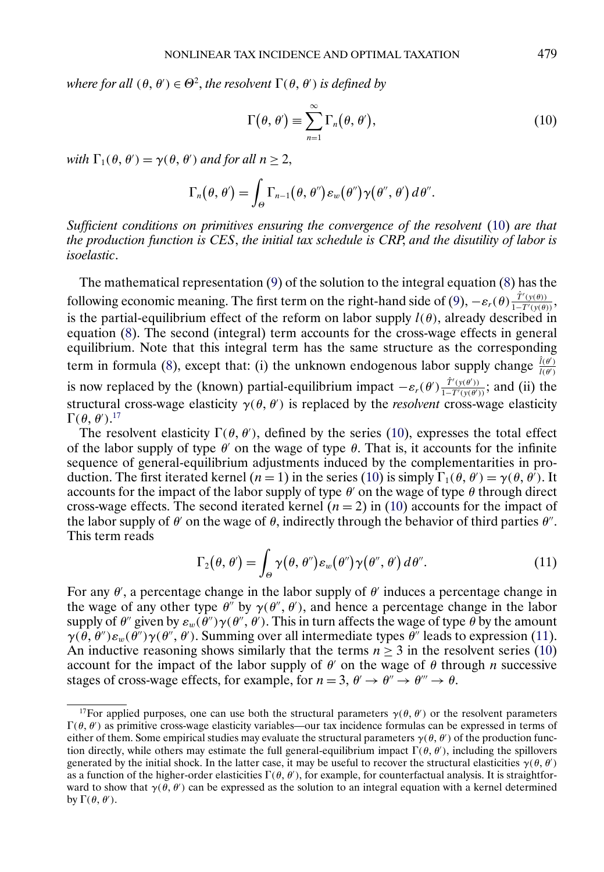<span id="page-10-0"></span>*where for all*  $(\theta, \theta') \in \Theta^2$ , *the resolvent*  $\Gamma(\theta, \theta')$  *is defined by* 

$$
\Gamma(\theta,\theta') \equiv \sum_{n=1}^{\infty} \Gamma_n(\theta,\theta'), \qquad (10)
$$

with  $\Gamma_1(\theta, \theta') = \gamma(\theta, \theta')$  and for all  $n \geq 2$ ,

$$
\Gamma_n(\theta,\theta')=\int_{\Theta}\Gamma_{n-1}(\theta,\theta'')\varepsilon_w(\theta'')\gamma(\theta'',\theta')\,d\theta''.
$$

*Sufficient conditions on primitives ensuring the convergence of the resolvent* (10) *are that the production function is CES*, *the initial tax schedule is CRP*, *and the disutility of labor is isoelastic*.

The mathematical representation [\(9\)](#page-9-0) of the solution to the integral equation [\(8\)](#page-9-0) has the following economic meaning. The first term on the right-hand side of [\(9\)](#page-9-0),  $-\varepsilon_r(\theta) \frac{\hat{T}'(y(\theta))}{1-T'(y(\theta))}$ , is the partial-equilibrium effect of the reform on labor supply  $l(\theta)$ , already described in equation [\(8\)](#page-9-0). The second (integral) term accounts for the cross-wage effects in general equilibrium. Note that this integral term has the same structure as the corresponding term in formula [\(8\)](#page-9-0), except that: (i) the unknown endogenous labor supply change  $\frac{\hat{l}(\theta')}{l(\theta')}$ is now replaced by the (known) partial-equilibrium impact  $-\varepsilon_r(\theta')\frac{\hat{T}'(y(\theta'))}{1-T'(y(\theta'))}$ ; and (ii) the structural cross-wage elasticity  $\gamma(\theta, \theta')$  is replaced by the *resolvent* cross-wage elasticity  $\Gamma(\theta,\theta').^{17}$ 

The resolvent elasticity  $\Gamma(\theta, \theta')$ , defined by the series (10), expresses the total effect of the labor supply of type  $\theta'$  on the wage of type  $\theta$ . That is, it accounts for the infinite sequence of general-equilibrium adjustments induced by the complementarities in production. The first iterated kernel ( $n = 1$ ) in the series (10) is simply  $\Gamma_1(\theta, \theta') = \gamma(\theta, \theta')$ . It accounts for the impact of the labor supply of type  $\theta$  on the wage of type  $\theta$  through direct cross-wage effects. The second iterated kernel  $(n = 2)$  in (10) accounts for the impact of the labor supply of  $\theta'$  on the wage of  $\theta$ , indirectly through the behavior of third parties  $\theta''$ . This term reads

$$
\Gamma_2(\theta,\theta') = \int_{\Theta} \gamma(\theta,\theta'') \varepsilon_w(\theta'') \gamma(\theta'',\theta') d\theta''.
$$
 (11)

For any  $\theta'$ , a percentage change in the labor supply of  $\theta'$  induces a percentage change in the wage of any other type  $\theta''$  by  $\gamma(\theta'', \theta')$ , and hence a percentage change in the labor supply of  $\theta''$  given by  $\varepsilon_w(\theta'')\gamma(\theta'',\theta')$ . This in turn affects the wage of type  $\theta$  by the amount  $\gamma(\theta, \theta'')\varepsilon_w(\theta'')\gamma(\theta'', \theta')$ . Summing over all intermediate types  $\theta''$  leads to expression (11). An inductive reasoning shows similarly that the terms  $n \ge 3$  in the resolvent series (10) account for the impact of the labor supply of  $\theta'$  on the wage of  $\theta$  through n successive stages of cross-wage effects, for example, for  $n = 3$ ,  $\theta' \rightarrow \theta'' \rightarrow \theta''' \rightarrow \theta$ .

<sup>&</sup>lt;sup>17</sup>For applied purposes, one can use both the structural parameters  $\gamma(\theta, \theta')$  or the resolvent parameters  $\Gamma(\theta, \theta')$  as primitive cross-wage elasticity variables—our tax incidence formulas can be expressed in terms of either of them. Some empirical studies may evaluate the structural parameters  $\gamma(\theta, \theta')$  of the production function directly, while others may estimate the full general-equilibrium impact  $\Gamma(\theta, \theta')$ , including the spillovers generated by the initial shock. In the latter case, it may be useful to recover the structural elasticities  $\gamma(\theta, \theta')$ as a function of the higher-order elasticities  $\Gamma(\theta, \theta')$ , for example, for counterfactual analysis. It is straightforward to show that  $\gamma(\theta, \theta')$  can be expressed as the solution to an integral equation with a kernel determined by  $\Gamma(\theta, \theta')$ .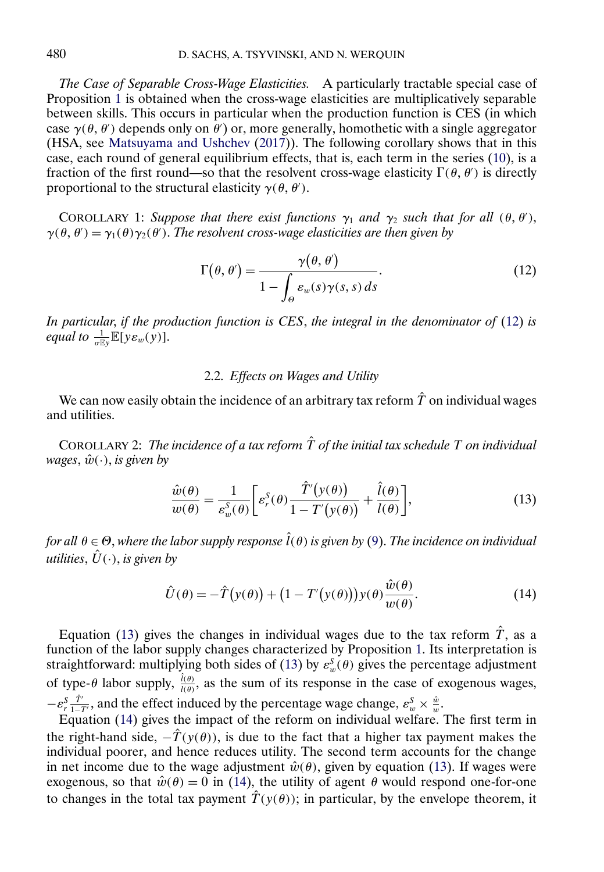<span id="page-11-0"></span>*The Case of Separable Cross-Wage Elasticities.* A particularly tractable special case of Proposition [1](#page-9-0) is obtained when the cross-wage elasticities are multiplicatively separable between skills. This occurs in particular when the production function is CES (in which case  $\gamma(\theta, \theta')$  depends only on  $\theta'$ ) or, more generally, homothetic with a single aggregator (HSA, see [Matsuyama and Ushchev](#page-24-0) [\(2017\)](#page-24-0)). The following corollary shows that in this case, each round of general equilibrium effects, that is, each term in the series [\(10\)](#page-10-0), is a fraction of the first round—so that the resolvent cross-wage elasticity  $\Gamma(\theta, \theta')$  is directly proportional to the structural elasticity  $\gamma(\theta, \theta')$ .

COROLLARY 1: Suppose that there exist functions  $\gamma_1$  and  $\gamma_2$  such that for all  $(\theta, \theta')$ ,  $\gamma(\theta, \theta') = \gamma_1(\theta) \gamma_2(\theta')$ . *The resolvent cross-wage elasticities are then given by* 

$$
\Gamma(\theta, \theta') = \frac{\gamma(\theta, \theta')}{1 - \int_{\Theta} \varepsilon_w(s) \gamma(s, s) ds}.
$$
\n(12)

*In particular*, *if the production function is CES*, *the integral in the denominator of* (12) *is equal to*  $\frac{1}{\sigma E_y} \mathbb{E}[y \varepsilon_w(y)].$ 

# 2.2. *Effects on Wages and Utility*

We can now easily obtain the incidence of an arbitrary tax reform  $\hat{T}$  on individual wages and utilities.

COROLLARY 2: *The incidence of a tax reform*  $\hat{T}$  *of the initial tax schedule* T *on individual wages*,  $\hat{w}(\cdot)$ , *is given by* 

$$
\frac{\hat{w}(\theta)}{w(\theta)} = \frac{1}{\varepsilon_w^S(\theta)} \bigg[ \varepsilon_r^S(\theta) \frac{\hat{T}'(y(\theta))}{1 - T'(y(\theta))} + \frac{\hat{l}(\theta)}{l(\theta)} \bigg],\tag{13}
$$

*for all* θ ∈ Θ, *where the labor supply response* ˆ l(θ) *is given by* [\(9\)](#page-9-0). *The incidence on individual utilities*,  $\hat{U}(\cdot)$ , *is given by* 

$$
\hat{U}(\theta) = -\hat{T}(y(\theta)) + (1 - T'(y(\theta)))y(\theta)\frac{\hat{w}(\theta)}{w(\theta)}.
$$
\n(14)

Equation (13) gives the changes in individual wages due to the tax reform  $\hat{T}$ , as a function of the labor supply changes characterized by Proposition [1.](#page-9-0) Its interpretation is straightforward: multiplying both sides of (13) by  $\varepsilon_w^S(\theta)$  gives the percentage adjustment of type- $\theta$  labor supply,  $\frac{\hat{l}(\theta)}{l(\theta)}$ , as the sum of its response in the case of exogenous wages,  $-\varepsilon_r^S \frac{\hat{T}'}{1-T'}$ , and the effect induced by the percentage wage change,  $\varepsilon_w^S \times \frac{\hat{w}}{w}$ .

Equation (14) gives the impact of the reform on individual welfare. The first term in the right-hand side,  $-\hat{T}(y(\theta))$ , is due to the fact that a higher tax payment makes the individual poorer, and hence reduces utility. The second term accounts for the change in net income due to the wage adjustment  $\hat{w}(\theta)$ , given by equation (13). If wages were exogenous, so that  $\hat{w}(\theta) = 0$  in (14), the utility of agent  $\theta$  would respond one-for-one to changes in the total tax payment  $\hat{T}(y(\theta))$ ; in particular, by the envelope theorem, it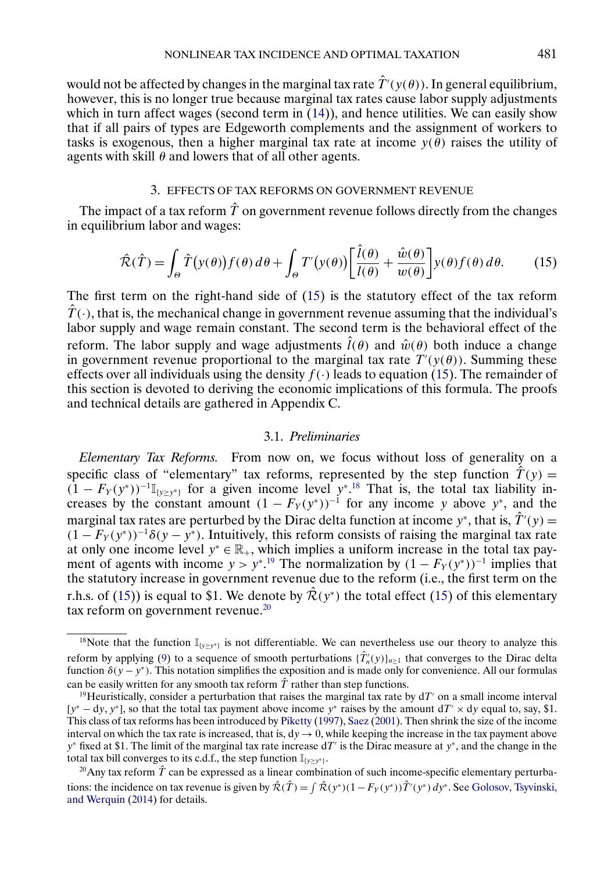<span id="page-12-0"></span>would not be affected by changes in the marginal tax rate  $\hat{T}'(y(\theta))$ . In general equilibrium, however, this is no longer true because marginal tax rates cause labor supply adjustments which in turn affect wages (second term in  $(14)$ ), and hence utilities. We can easily show that if all pairs of types are Edgeworth complements and the assignment of workers to tasks is exogenous, then a higher marginal tax rate at income  $y(\tilde{\theta})$  raises the utility of agents with skill  $\theta$  and lowers that of all other agents.

# 3. EFFECTS OF TAX REFORMS ON GOVERNMENT REVENUE

The impact of a tax reform  $\hat{T}$  on government revenue follows directly from the changes in equilibrium labor and wages:

$$
\hat{\mathcal{R}}(\hat{T}) = \int_{\Theta} \hat{T}(y(\theta)) f(\theta) d\theta + \int_{\Theta} T'(y(\theta)) \left[ \frac{\hat{l}(\theta)}{l(\theta)} + \frac{\hat{w}(\theta)}{w(\theta)} \right] y(\theta) f(\theta) d\theta.
$$
 (15)

The first term on the right-hand side of (15) is the statutory effect of the tax reform  $\hat{T}(\cdot)$ , that is, the mechanical change in government revenue assuming that the individual's labor supply and wage remain constant. The second term is the behavioral effect of the reform. The labor supply and wage adjustments  $\hat{l}(\theta)$  and  $\hat{w}(\theta)$  both induce a change in government revenue proportional to the marginal tax rate  $T'(y(\theta))$ . Summing these effects over all individuals using the density  $f(\cdot)$  leads to equation (15). The remainder of this section is devoted to deriving the economic implications of this formula. The proofs and technical details are gathered in Appendix C.

### 3.1. *Preliminaries*

*Elementary Tax Reforms.* From now on, we focus without loss of generality on a specific class of "elementary" tax reforms, represented by the step function  $\hat{T}(y) =$  $(1 - F_Y(y^*))^{-1} \mathbb{I}_{\{y \geq y^*\}}$  for a given income level  $y^*$ .<sup>18</sup> That is, the total tax liability increases by the constant amount  $(1 - F_Y(y^*))^{-1}$  for any income y above y<sup>\*</sup>, and the marginal tax rates are perturbed by the Dirac delta function at income y<sup>\*</sup>, that is,  $\hat{T}'(y)$  =  $(1 - F_Y(y^*))^{-1} \delta(y - y^*)$ . Intuitively, this reform consists of raising the marginal tax rate at only one income level  $y^* \in \mathbb{R}_+$ , which implies a uniform increase in the total tax payment of agents with income  $y > y^*$ .<sup>19</sup> The normalization by  $(1 - F_Y(y^*))^{-1}$  implies that the statutory increase in government revenue due to the reform (i.e., the first term on the r.h.s. of (15)) is equal to \$1. We denote by  $\hat{\mathcal{R}}(y^*)$  the total effect (15) of this elementary tax reform on government revenue. $^{20}$ 

<sup>&</sup>lt;sup>18</sup>Note that the function  $\mathbb{I}_{\{y\geq y^*\}}$  is not differentiable. We can nevertheless use our theory to analyze this reform by applying [\(9\)](#page-9-0) to a sequence of smooth perturbations  $\{\hat{T}'_n(y)\}_{n\geq 1}$  that converges to the Dirac delta function δ(y − y<sup>∗</sup>). This notation simplifies the exposition and is made only for convenience. All our formulas can be easily written for any smooth tax reform  $\hat{T}$  rather than step functions.

<sup>&</sup>lt;sup>19</sup>Heuristically, consider a perturbation that raises the marginal tax rate by  $dT'$  on a small income interval [y<sup>∗</sup> – dy, y<sup>∗</sup>], so that the total tax payment above income y<sup>∗</sup> raises by the amount dT' × dy equal to, say, \$1. This class of tax reforms has been introduced by [Piketty](#page-24-0) [\(1997\)](#page-24-0), [Saez](#page-24-0) [\(2001\)](#page-24-0). Then shrink the size of the income interval on which the tax rate is increased, that is,  $dy \rightarrow 0$ , while keeping the increase in the tax payment above y<sup>∗</sup> fixed at \$1. The limit of the marginal tax rate increase dT' is the Dirac measure at y<sup>∗</sup>, and the change in the total tax bill converges to its c.d.f., the step function  $\mathbb{I}_{\{y>y^*\}}$ .

<sup>&</sup>lt;sup>20</sup>Any tax reform  $\hat{T}$  can be expressed as a linear combination of such income-specific elementary perturbations: the incidence on tax revenue is given by  $\hat{\mathcal{R}}(\hat{T}) = \int \hat{\mathcal{R}}(y^*)(1 - F_Y(y^*))\hat{T}'(y^*) dy^*$ . See [Golosov, Tsyvinski,](#page-23-0) [and Werquin](#page-23-0) [\(2014\)](#page-23-0) for details.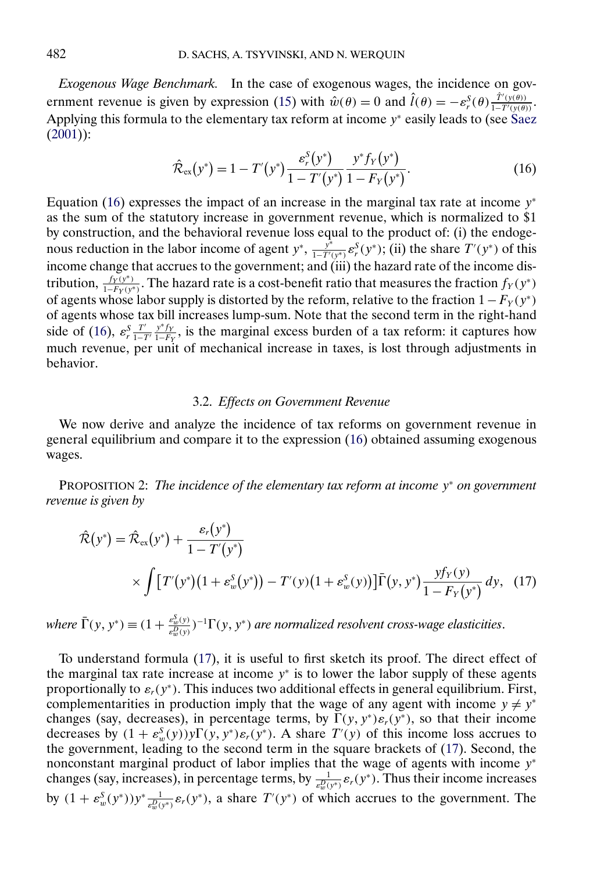<span id="page-13-0"></span>*Exogenous Wage Benchmark.* In the case of exogenous wages, the incidence on gov-ernment revenue is given by expression [\(15\)](#page-12-0) with  $\hat{w}(\theta) = 0$  and  $\hat{l}(\theta) = -\varepsilon_r^S(\theta) \frac{\hat{T}'(y(\theta))}{1 - T'(y(\theta))}$ . Applying this formula to the elementary tax reform at income  $y^*$  easily leads to (see [Saez](#page-24-0) [\(2001\)](#page-24-0)):

$$
\hat{\mathcal{R}}_{\text{ex}}(y^*) = 1 - T'(y^*) \frac{\varepsilon_r^S(y^*)}{1 - T'(y^*)} \frac{y^* f_Y(y^*)}{1 - F_Y(y^*)}.
$$
\n(16)

Equation (16) expresses the impact of an increase in the marginal tax rate at income  $y^*$ as the sum of the statutory increase in government revenue, which is normalized to \$1 by construction, and the behavioral revenue loss equal to the product of: (i) the endogenous reduction in the labor income of agent  $y^*$ ,  $\frac{y^*}{1-T'(y^*)} \varepsilon_r^S(y^*)$ ; (ii) the share  $T'(y^*)$  of this income change that accrues to the government; and (iii) the hazard rate of the income distribution,  $\frac{f_Y(y^*)}{1-F_Y(y^*)}$ . The hazard rate is a cost-benefit ratio that measures the fraction  $f_Y(y^*)$ of agents whose labor supply is distorted by the reform, relative to the fraction  $1 - F_Y(y^*)$ of agents whose tax bill increases lump-sum. Note that the second term in the right-hand side of (16),  $\varepsilon_r^S \frac{T'}{1-T} \frac{y*f_y}{1-F_y}$ , is the marginal excess burden of a tax reform: it captures how much revenue, per unit of mechanical increase in taxes, is lost through adjustments in behavior.

# 3.2. *Effects on Government Revenue*

We now derive and analyze the incidence of tax reforms on government revenue in general equilibrium and compare it to the expression (16) obtained assuming exogenous wages.

PROPOSITION 2: *The incidence of the elementary tax reform at income* y<sup>∗</sup> *on government revenue is given by*

$$
\hat{\mathcal{R}}(y^*) = \hat{\mathcal{R}}_{ex}(y^*) + \frac{\varepsilon_r(y^*)}{1 - T'(y^*)} \times \int [T'(y^*)(1 + \varepsilon_w^S(y^*)) - T'(y)(1 + \varepsilon_w^S(y))] \bar{\Gamma}(y, y^*) \frac{y f_Y(y)}{1 - F_Y(y^*)} dy, (17)
$$

where  $\bar{\Gamma}(y, y^*) \equiv (1 + \frac{\varepsilon_w^S(y)}{\varepsilon_w^D(y)})^{-1} \Gamma(y, y^*)$  are normalized resolvent cross-wage elasticities.

To understand formula (17), it is useful to first sketch its proof. The direct effect of the marginal tax rate increase at income  $y^*$  is to lower the labor supply of these agents proportionally to  $\varepsilon_r(y^*)$ . This induces two additional effects in general equilibrium. First, complementarities in production imply that the wage of any agent with income  $y \neq y^*$ changes (say, decreases), in percentage terms, by  $\Gamma(y, y^*)\varepsilon_r(y^*)$ , so that their income decreases by  $(1 + \varepsilon_w^S(y))y\Gamma(y, y^*)\varepsilon_r(y^*)$ . A share  $T'(y)$  of this income loss accrues to the government, leading to the second term in the square brackets of (17). Second, the nonconstant marginal product of labor implies that the wage of agents with income y<sup>∗</sup> changes (say, increases), in percentage terms, by  $\frac{1}{\varepsilon_w^D(y^*)} \varepsilon_r(y^*)$ . Thus their income increases by  $(1 + \varepsilon_w^S(y^*))y^* \frac{1}{\varepsilon_w^D(y^*)} \varepsilon_r(y^*)$ , a share  $T'(y^*)$  of which accrues to the government. The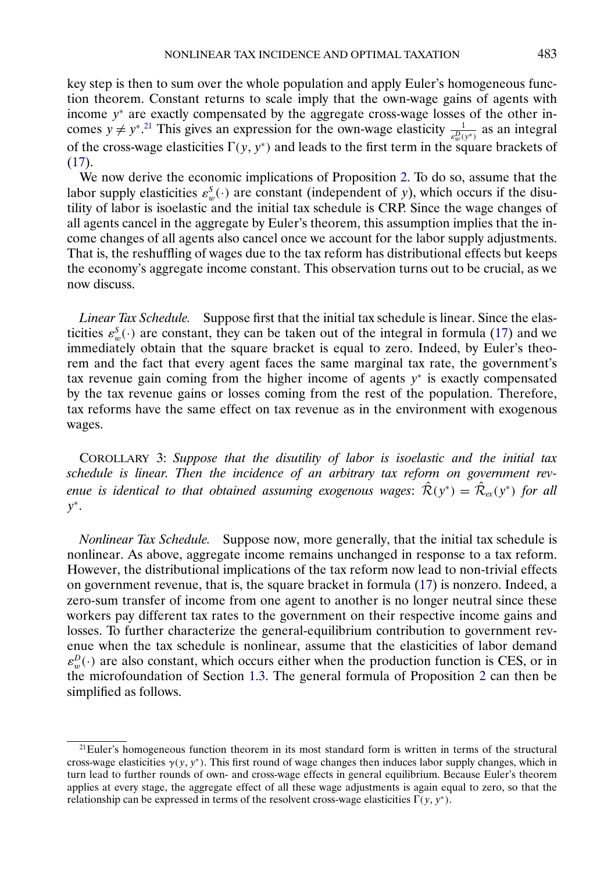<span id="page-14-0"></span>key step is then to sum over the whole population and apply Euler's homogeneous function theorem. Constant returns to scale imply that the own-wage gains of agents with income y<sup>∗</sup> are exactly compensated by the aggregate cross-wage losses of the other incomes  $y \neq y^{*}$ .<sup>21</sup> This gives an expression for the own-wage elasticity  $\frac{1}{\varepsilon_w^D(y^*)}$  as an integral of the cross-wage elasticities  $\Gamma(y, y^*)$  and leads to the first term in the square brackets of  $(17)$ .

We now derive the economic implications of Proposition [2.](#page-13-0) To do so, assume that the labor supply elasticities  $\varepsilon_w^S(\cdot)$  are constant (independent of y), which occurs if the disutility of labor is isoelastic and the initial tax schedule is CRP. Since the wage changes of all agents cancel in the aggregate by Euler's theorem, this assumption implies that the income changes of all agents also cancel once we account for the labor supply adjustments. That is, the reshuffling of wages due to the tax reform has distributional effects but keeps the economy's aggregate income constant. This observation turns out to be crucial, as we now discuss.

*Linear Tax Schedule.* Suppose first that the initial tax schedule is linear. Since the elasticities  $\varepsilon_w^S(\cdot)$  are constant, they can be taken out of the integral in formula [\(17\)](#page-13-0) and we immediately obtain that the square bracket is equal to zero. Indeed, by Euler's theorem and the fact that every agent faces the same marginal tax rate, the government's tax revenue gain coming from the higher income of agents  $y^*$  is exactly compensated by the tax revenue gains or losses coming from the rest of the population. Therefore, tax reforms have the same effect on tax revenue as in the environment with exogenous wages.

COROLLARY 3: *Suppose that the disutility of labor is isoelastic and the initial tax schedule is linear*. *Then the incidence of an arbitrary tax reform on government revenue is identical to that obtained assuming exogenous wages:*  $\hat{\mathcal{R}}(y^*) = \hat{\mathcal{R}}_{ex}(y^*)$  *for all*  $y^*$ .

*Nonlinear Tax Schedule.* Suppose now, more generally, that the initial tax schedule is nonlinear. As above, aggregate income remains unchanged in response to a tax reform. However, the distributional implications of the tax reform now lead to non-trivial effects on government revenue, that is, the square bracket in formula [\(17\)](#page-13-0) is nonzero. Indeed, a zero-sum transfer of income from one agent to another is no longer neutral since these workers pay different tax rates to the government on their respective income gains and losses. To further characterize the general-equilibrium contribution to government revenue when the tax schedule is nonlinear, assume that the elasticities of labor demand  $\varepsilon_w^D(\cdot)$  are also constant, which occurs either when the production function is CES, or in the microfoundation of Section [1.3.](#page-6-0) The general formula of Proposition [2](#page-13-0) can then be simplified as follows.

 $21$ Euler's homogeneous function theorem in its most standard form is written in terms of the structural cross-wage elasticities  $\gamma(y, y^*)$ . This first round of wage changes then induces labor supply changes, which in turn lead to further rounds of own- and cross-wage effects in general equilibrium. Because Euler's theorem applies at every stage, the aggregate effect of all these wage adjustments is again equal to zero, so that the relationship can be expressed in terms of the resolvent cross-wage elasticities  $\Gamma(y, y^*)$ .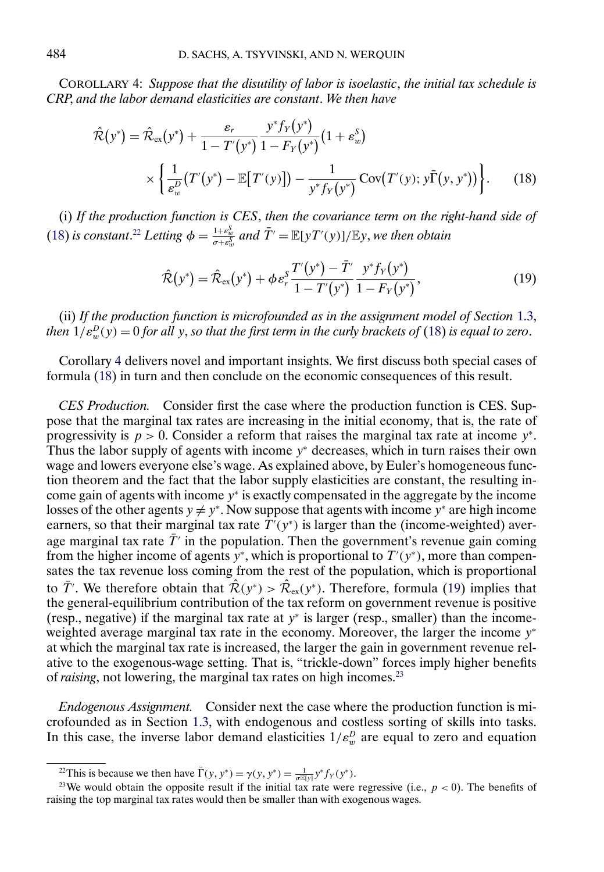<span id="page-15-0"></span>COROLLARY 4: *Suppose that the disutility of labor is isoelastic*, *the initial tax schedule is CRP*, *and the labor demand elasticities are constant*. *We then have*

$$
\hat{\mathcal{R}}(y^*) = \hat{\mathcal{R}}_{\text{ex}}(y^*) + \frac{\varepsilon_r}{1 - T'(y^*)} \frac{y^* f_Y(y^*)}{1 - F_Y(y^*)} (1 + \varepsilon_w^S) \times \left\{ \frac{1}{\varepsilon_w^D} (T'(y^*) - \mathbb{E}[T'(y)]) - \frac{1}{y^* f_Y(y^*)} \text{Cov}(T'(y); y \bar{\Gamma}(y, y^*)) \right\}.
$$
\n(18)

(i) *If the production function is CES*, *then the covariance term on the right-hand side of* (18) *is constant.*<sup>22</sup> *Letting*  $\phi = \frac{1+\varepsilon_w^S}{\sigma+\varepsilon_w^S}$  *and*  $\overline{T}' = \mathbb{E}[yT'(y)]/\mathbb{E}y$ , *we then obtain* 

$$
\hat{\mathcal{R}}(y^*) = \hat{\mathcal{R}}_{\text{ex}}(y^*) + \phi \,\varepsilon_r^S \frac{T'(y^*) - \bar{T}'}{1 - T'(y^*)} \frac{y^* f_Y(y^*)}{1 - F_Y(y^*)},\tag{19}
$$

(ii) *If the production function is microfounded as in the assignment model of Section* [1.3,](#page-6-0) *then*  $1/\varepsilon_w^D(y) = 0$  *for all y, so that the first term in the curly brackets of* (18) *is equal to zero.* 

Corollary [4](#page-14-0) delivers novel and important insights. We first discuss both special cases of formula (18) in turn and then conclude on the economic consequences of this result.

*CES Production.* Consider first the case where the production function is CES. Suppose that the marginal tax rates are increasing in the initial economy, that is, the rate of progressivity is  $p > 0$ . Consider a reform that raises the marginal tax rate at income y<sup>\*</sup>. Thus the labor supply of agents with income  $y^*$  decreases, which in turn raises their own wage and lowers everyone else's wage. As explained above, by Euler's homogeneous function theorem and the fact that the labor supply elasticities are constant, the resulting income gain of agents with income y<sup>∗</sup> is exactly compensated in the aggregate by the income losses of the other agents  $y \neq y^*$ . Now suppose that agents with income y<sup>∗</sup> are high income earners, so that their marginal tax rate  $T'(y^*)$  is larger than the (income-weighted) average marginal tax rate  $\bar{T}$  in the population. Then the government's revenue gain coming from the higher income of agents  $y^*$ , which is proportional to  $T'(y^*)$ , more than compensates the tax revenue loss coming from the rest of the population, which is proportional to  $\overline{T}$ . We therefore obtain that  $\hat{\mathcal{R}}(y^*) > \hat{\mathcal{R}}_{ex}(y^*)$ . Therefore, formula (19) implies that the general-equilibrium contribution of the tax reform on government revenue is positive (resp., negative) if the marginal tax rate at  $y^*$  is larger (resp., smaller) than the incomeweighted average marginal tax rate in the economy. Moreover, the larger the income  $y^*$ at which the marginal tax rate is increased, the larger the gain in government revenue relative to the exogenous-wage setting. That is, "trickle-down" forces imply higher benefits of *raising*, not lowering, the marginal tax rates on high incomes.23

*Endogenous Assignment.* Consider next the case where the production function is microfounded as in Section [1.3,](#page-6-0) with endogenous and costless sorting of skills into tasks. In this case, the inverse labor demand elasticities  $1/\varepsilon_w^D$  are equal to zero and equation

<sup>&</sup>lt;sup>22</sup>This is because we then have  $\overline{\Gamma}(y, y^*) = \gamma(y, y^*) = \frac{1}{\sigma \mathbb{E}[y]} y^* f_Y(y^*)$ .

<sup>&</sup>lt;sup>23</sup>We would obtain the opposite result if the initial tax rate were regressive (i.e.,  $p < 0$ ). The benefits of raising the top marginal tax rates would then be smaller than with exogenous wages.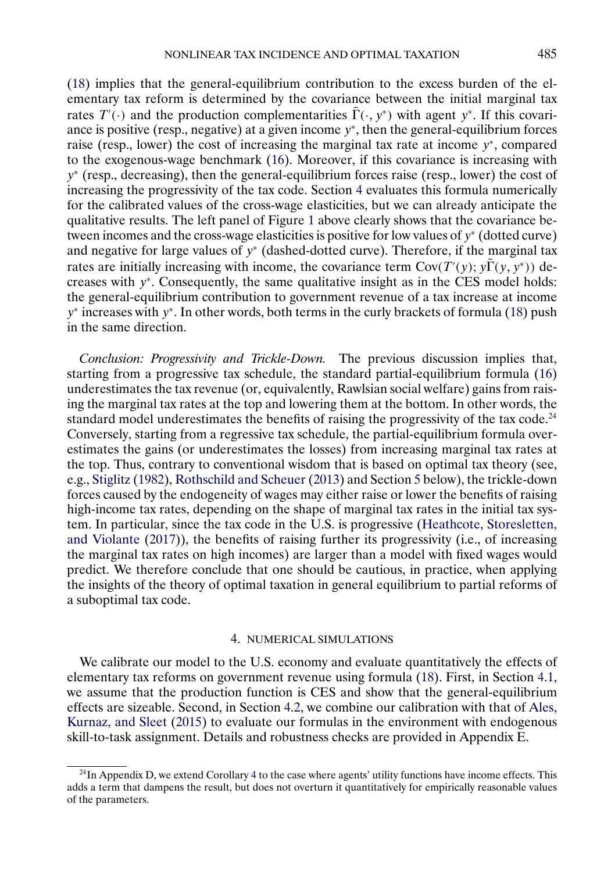<span id="page-16-0"></span>[\(18\)](#page-15-0) implies that the general-equilibrium contribution to the excess burden of the elementary tax reform is determined by the covariance between the initial marginal tax rates  $T'(\cdot)$  and the production complementarities  $\overline{\Gamma}(\cdot, y^*)$  with agent y<sup>\*</sup>. If this covariance is positive (resp., negative) at a given income  $y^*$ , then the general-equilibrium forces raise (resp., lower) the cost of increasing the marginal tax rate at income y<sup>∗</sup>, compared to the exogenous-wage benchmark [\(16\)](#page-13-0). Moreover, if this covariance is increasing with y<sup>∗</sup> (resp., decreasing), then the general-equilibrium forces raise (resp., lower) the cost of increasing the progressivity of the tax code. Section 4 evaluates this formula numerically for the calibrated values of the cross-wage elasticities, but we can already anticipate the qualitative results. The left panel of Figure [1](#page-7-0) above clearly shows that the covariance between incomes and the cross-wage elasticities is positive for low values of  $y^*$  (dotted curve) and negative for large values of  $y^*$  (dashed-dotted curve). Therefore, if the marginal tax rates are initially increasing with income, the covariance term  $Cov(T'(y); y\overline{\Gamma}(y, y^*))$  decreases with y<sup>∗</sup>. Consequently, the same qualitative insight as in the CES model holds: the general-equilibrium contribution to government revenue of a tax increase at income y<sup>∗</sup> increases with y<sup>∗</sup>. In other words, both terms in the curly brackets of formula [\(18\)](#page-15-0) push in the same direction.

*Conclusion: Progressivity and Trickle-Down.* The previous discussion implies that, starting from a progressive tax schedule, the standard partial-equilibrium formula [\(16\)](#page-13-0) underestimates the tax revenue (or, equivalently, Rawlsian social welfare) gains from raising the marginal tax rates at the top and lowering them at the bottom. In other words, the standard model underestimates the benefits of raising the progressivity of the tax code.<sup>24</sup> Conversely, starting from a regressive tax schedule, the partial-equilibrium formula overestimates the gains (or underestimates the losses) from increasing marginal tax rates at the top. Thus, contrary to conventional wisdom that is based on optimal tax theory (see, e.g., [Stiglitz](#page-24-0) [\(1982\)](#page-24-0), [Rothschild and Scheuer](#page-24-0) [\(2013\)](#page-24-0) and Section [5](#page-19-0) below), the trickle-down forces caused by the endogeneity of wages may either raise or lower the benefits of raising high-income tax rates, depending on the shape of marginal tax rates in the initial tax system. In particular, since the tax code in the U.S. is progressive [\(Heathcote, Storesletten,](#page-23-0) [and Violante](#page-23-0) [\(2017\)](#page-23-0)), the benefits of raising further its progressivity (i.e., of increasing the marginal tax rates on high incomes) are larger than a model with fixed wages would predict. We therefore conclude that one should be cautious, in practice, when applying the insights of the theory of optimal taxation in general equilibrium to partial reforms of a suboptimal tax code.

## 4. NUMERICAL SIMULATIONS

We calibrate our model to the U.S. economy and evaluate quantitatively the effects of elementary tax reforms on government revenue using formula [\(18\)](#page-15-0). First, in Section [4.1,](#page-17-0) we assume that the production function is CES and show that the general-equilibrium effects are sizeable. Second, in Section [4.2,](#page-18-0) we combine our calibration with that of [Ales,](#page-23-0) [Kurnaz, and Sleet](#page-23-0) [\(2015\)](#page-23-0) to evaluate our formulas in the environment with endogenous skill-to-task assignment. Details and robustness checks are provided in Appendix E.

 $^{24}$  $^{24}$  $^{24}$ In Appendix D, we extend Corollary 4 to the case where agents' utility functions have income effects. This adds a term that dampens the result, but does not overturn it quantitatively for empirically reasonable values of the parameters.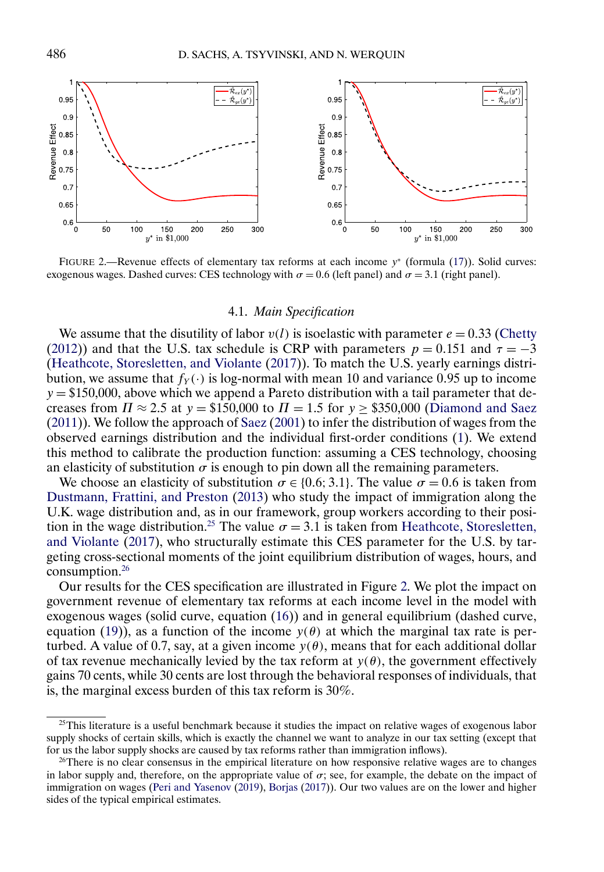<span id="page-17-0"></span>

FIGURE 2.—Revenue effects of elementary tax reforms at each income y<sup>∗</sup> (formula [\(17\)](#page-13-0)). Solid curves: exogenous wages. Dashed curves: CES technology with  $\sigma = 0.6$  (left panel) and  $\sigma = 3.1$  (right panel).

### 4.1. *Main Specification*

We assume that the disutility of labor  $v(l)$  is isoelastic with parameter  $e = 0.33$  [\(Chetty](#page-23-0) [\(2012\)](#page-23-0)) and that the U.S. tax schedule is CRP with parameters  $p = 0.151$  and  $\tau = -3$ [\(Heathcote, Storesletten, and Violante](#page-23-0) [\(2017\)](#page-23-0)). To match the U.S. yearly earnings distribution, we assume that  $f_Y(\cdot)$  is log-normal with mean 10 and variance 0.95 up to income  $y = $150,000$ , above which we append a Pareto distribution with a tail parameter that decreases from  $\Pi \approx 2.5$  at  $y = $150,000$  to  $\Pi = 1.5$  for  $y \ge $350,000$  [\(Diamond and Saez](#page-23-0) [\(2011\)](#page-23-0)). We follow the approach of [Saez](#page-24-0) [\(2001\)](#page-24-0) to infer the distribution of wages from the observed earnings distribution and the individual first-order conditions [\(1\)](#page-3-0). We extend this method to calibrate the production function: assuming a CES technology, choosing an elasticity of substitution  $\sigma$  is enough to pin down all the remaining parameters.

We choose an elasticity of substitution  $\sigma \in \{0.6, 3.1\}$ . The value  $\sigma = 0.6$  is taken from [Dustmann, Frattini, and Preston](#page-23-0) [\(2013\)](#page-23-0) who study the impact of immigration along the U.K. wage distribution and, as in our framework, group workers according to their position in the wage distribution.<sup>25</sup> The value  $\sigma = 3.1$  is taken from [Heathcote, Storesletten,](#page-23-0) [and Violante](#page-23-0) [\(2017\)](#page-23-0), who structurally estimate this CES parameter for the U.S. by targeting cross-sectional moments of the joint equilibrium distribution of wages, hours, and consumption.26

Our results for the CES specification are illustrated in Figure 2. We plot the impact on government revenue of elementary tax reforms at each income level in the model with exogenous wages (solid curve, equation [\(16\)](#page-13-0)) and in general equilibrium (dashed curve, equation [\(19\)](#page-15-0)), as a function of the income  $y(\theta)$  at which the marginal tax rate is perturbed. A value of 0.7, say, at a given income  $y(\theta)$ , means that for each additional dollar of tax revenue mechanically levied by the tax reform at  $y(\theta)$ , the government effectively gains 70 cents, while 30 cents are lost through the behavioral responses of individuals, that is, the marginal excess burden of this tax reform is 30%.

 $25$ This literature is a useful benchmark because it studies the impact on relative wages of exogenous labor supply shocks of certain skills, which is exactly the channel we want to analyze in our tax setting (except that for us the labor supply shocks are caused by tax reforms rather than immigration inflows).

 $26$ There is no clear consensus in the empirical literature on how responsive relative wages are to changes in labor supply and, therefore, on the appropriate value of  $\sigma$ ; see, for example, the debate on the impact of immigration on wages [\(Peri and Yasenov](#page-24-0) [\(2019\)](#page-24-0), [Borjas](#page-23-0) [\(2017\)](#page-23-0)). Our two values are on the lower and higher sides of the typical empirical estimates.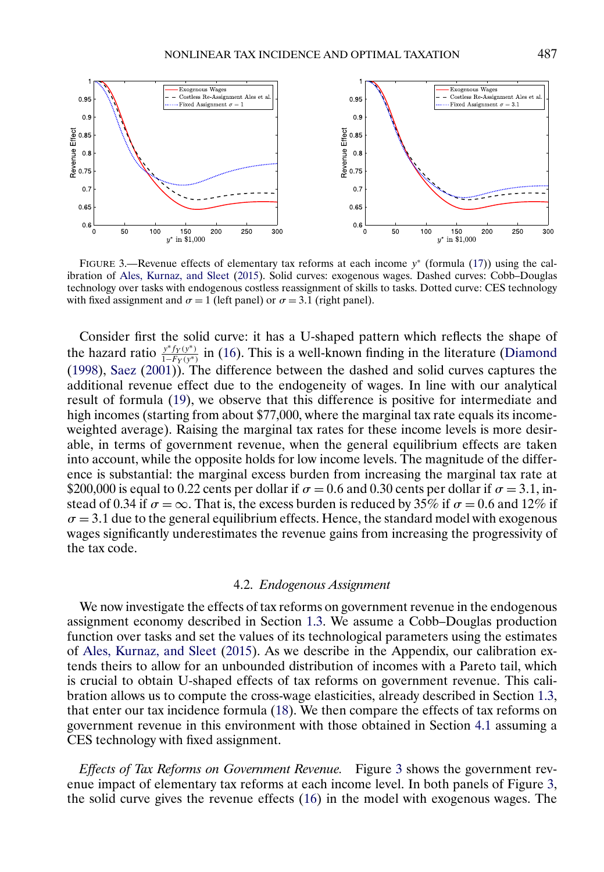<span id="page-18-0"></span>

FIGURE 3.—Revenue effects of elementary tax reforms at each income y<sup>∗</sup> (formula [\(17\)](#page-13-0)) using the calibration of [Ales, Kurnaz, and Sleet](#page-23-0) [\(2015\)](#page-23-0). Solid curves: exogenous wages. Dashed curves: Cobb–Douglas technology over tasks with endogenous costless reassignment of skills to tasks. Dotted curve: CES technology with fixed assignment and  $\sigma = 1$  (left panel) or  $\sigma = 3.1$  (right panel).

Consider first the solid curve: it has a U-shaped pattern which reflects the shape of the hazard ratio  $y^*f_Y(y^*)$  in [\(16\)](#page-13-0). This is a well-known finding in the literature [\(Diamond](#page-23-0) [\(1998\)](#page-23-0), [Saez](#page-24-0) [\(2001\)](#page-24-0)). The difference between the dashed and solid curves captures the additional revenue effect due to the endogeneity of wages. In line with our analytical result of formula [\(19\)](#page-15-0), we observe that this difference is positive for intermediate and high incomes (starting from about \$77,000, where the marginal tax rate equals its incomeweighted average). Raising the marginal tax rates for these income levels is more desirable, in terms of government revenue, when the general equilibrium effects are taken into account, while the opposite holds for low income levels. The magnitude of the difference is substantial: the marginal excess burden from increasing the marginal tax rate at \$200,000 is equal to 0.22 cents per dollar if  $\sigma = 0.6$  and 0.30 cents per dollar if  $\sigma = 3.1$ , instead of 0.34 if  $\sigma = \infty$ . That is, the excess burden is reduced by 35% if  $\sigma = 0.6$  and 12% if  $\sigma = 3.1$  due to the general equilibrium effects. Hence, the standard model with exogenous wages significantly underestimates the revenue gains from increasing the progressivity of the tax code.

### 4.2. *Endogenous Assignment*

We now investigate the effects of tax reforms on government revenue in the endogenous assignment economy described in Section [1.3.](#page-6-0) We assume a Cobb–Douglas production function over tasks and set the values of its technological parameters using the estimates of [Ales, Kurnaz, and Sleet](#page-23-0) [\(2015\)](#page-23-0). As we describe in the Appendix, our calibration extends theirs to allow for an unbounded distribution of incomes with a Pareto tail, which is crucial to obtain U-shaped effects of tax reforms on government revenue. This calibration allows us to compute the cross-wage elasticities, already described in Section [1.3,](#page-6-0) that enter our tax incidence formula [\(18\)](#page-15-0). We then compare the effects of tax reforms on government revenue in this environment with those obtained in Section [4.1](#page-17-0) assuming a CES technology with fixed assignment.

*Effects of Tax Reforms on Government Revenue.* Figure 3 shows the government revenue impact of elementary tax reforms at each income level. In both panels of Figure 3, the solid curve gives the revenue effects [\(16\)](#page-13-0) in the model with exogenous wages. The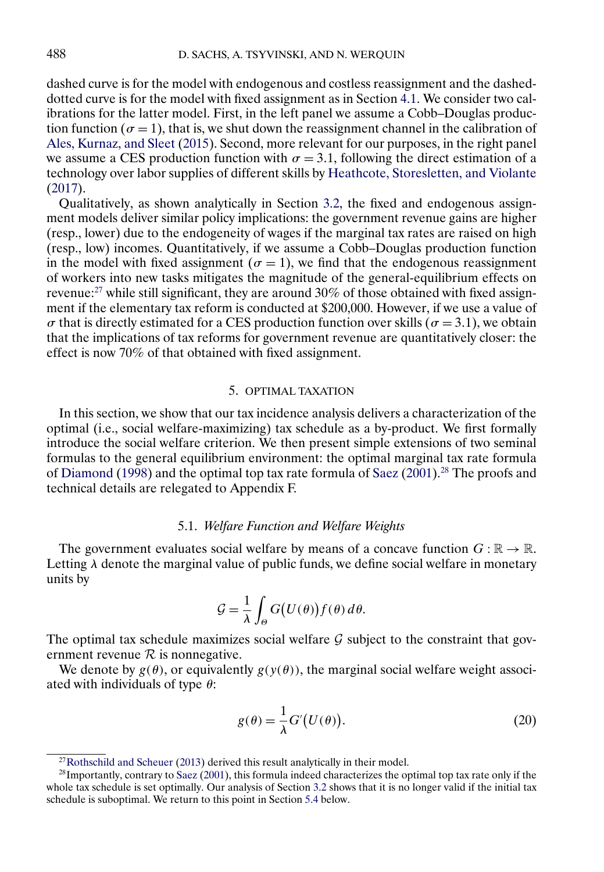<span id="page-19-0"></span>dashed curve is for the model with endogenous and costless reassignment and the dasheddotted curve is for the model with fixed assignment as in Section [4.1.](#page-17-0) We consider two calibrations for the latter model. First, in the left panel we assume a Cobb–Douglas production function ( $\sigma = 1$ ), that is, we shut down the reassignment channel in the calibration of [Ales, Kurnaz, and Sleet](#page-23-0) [\(2015\)](#page-23-0). Second, more relevant for our purposes, in the right panel we assume a CES production function with  $\sigma = 3.1$ , following the direct estimation of a technology over labor supplies of different skills by [Heathcote, Storesletten, and Violante](#page-23-0) [\(2017\)](#page-23-0).

Qualitatively, as shown analytically in Section [3.2,](#page-13-0) the fixed and endogenous assignment models deliver similar policy implications: the government revenue gains are higher (resp., lower) due to the endogeneity of wages if the marginal tax rates are raised on high (resp., low) incomes. Quantitatively, if we assume a Cobb–Douglas production function in the model with fixed assignment ( $\sigma = 1$ ), we find that the endogenous reassignment of workers into new tasks mitigates the magnitude of the general-equilibrium effects on revenue:27 while still significant, they are around 30% of those obtained with fixed assignment if the elementary tax reform is conducted at \$200,000. However, if we use a value of  $\sigma$  that is directly estimated for a CES production function over skills ( $\sigma = 3.1$ ), we obtain that the implications of tax reforms for government revenue are quantitatively closer: the effect is now 70% of that obtained with fixed assignment.

### 5. OPTIMAL TAXATION

In this section, we show that our tax incidence analysis delivers a characterization of the optimal (i.e., social welfare-maximizing) tax schedule as a by-product. We first formally introduce the social welfare criterion. We then present simple extensions of two seminal formulas to the general equilibrium environment: the optimal marginal tax rate formula of [Diamond](#page-23-0) [\(1998\)](#page-23-0) and the optimal top tax rate formula of [Saez](#page-24-0) [\(2001\)](#page-24-0).<sup>28</sup> The proofs and technical details are relegated to Appendix F.

#### 5.1. *Welfare Function and Welfare Weights*

The government evaluates social welfare by means of a concave function  $G : \mathbb{R} \to \mathbb{R}$ . Letting  $\lambda$  denote the marginal value of public funds, we define social welfare in monetary units by

$$
\mathcal{G} = \frac{1}{\lambda} \int_{\Theta} G(U(\theta)) f(\theta) d\theta.
$$

The optimal tax schedule maximizes social welfare  $G$  subject to the constraint that government revenue  $R$  is nonnegative.

We denote by  $g(\theta)$ , or equivalently  $g(y(\theta))$ , the marginal social welfare weight associated with individuals of type  $\theta$ :

$$
g(\theta) = \frac{1}{\lambda} G'(U(\theta)).
$$
\n(20)

 $27$ Rothschild and Scheuer [\(2013\)](#page-24-0) derived this result analytically in their model.

<sup>28</sup>Importantly, contrary to [Saez](#page-24-0) [\(2001\)](#page-24-0), this formula indeed characterizes the optimal top tax rate only if the whole tax schedule is set optimally. Our analysis of Section [3.2](#page-13-0) shows that it is no longer valid if the initial tax schedule is suboptimal. We return to this point in Section [5.4](#page-21-0) below.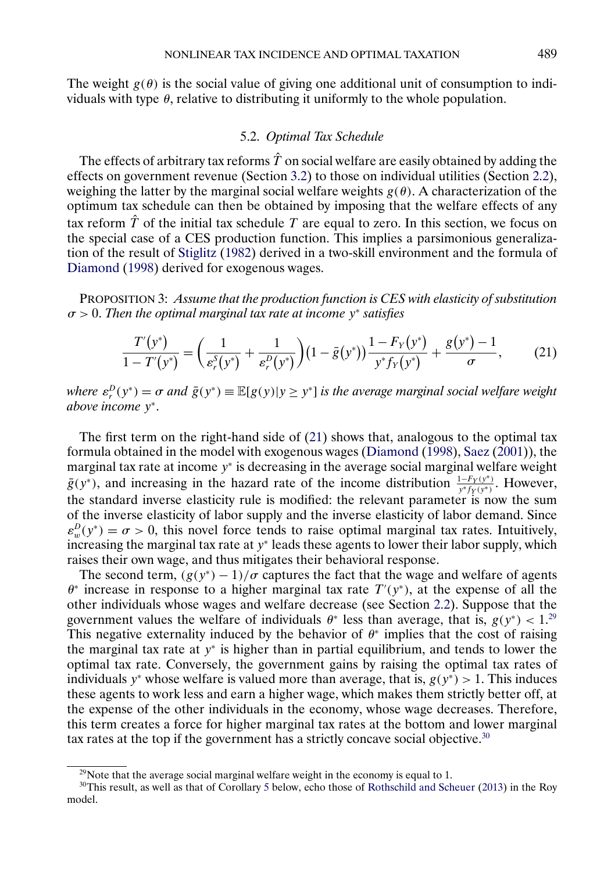<span id="page-20-0"></span>The weight  $g(\theta)$  is the social value of giving one additional unit of consumption to individuals with type  $\theta$ , relative to distributing it uniformly to the whole population.

# 5.2. *Optimal Tax Schedule*

The effects of arbitrary tax reforms  $\hat{T}$  on social welfare are easily obtained by adding the effects on government revenue (Section [3.2\)](#page-13-0) to those on individual utilities (Section [2.2\)](#page-11-0), weighing the latter by the marginal social welfare weights  $g(\theta)$ . A characterization of the optimum tax schedule can then be obtained by imposing that the welfare effects of any tax reform  $\hat{T}$  of the initial tax schedule T are equal to zero. In this section, we focus on the special case of a CES production function. This implies a parsimonious generalization of the result of [Stiglitz](#page-24-0) [\(1982\)](#page-24-0) derived in a two-skill environment and the formula of [Diamond](#page-23-0) [\(1998\)](#page-23-0) derived for exogenous wages.

PROPOSITION 3: *Assume that the production function is CES with elasticity of substitution* σ > 0. *Then the optimal marginal tax rate at income* y<sup>∗</sup> *satisfies*

$$
\frac{T'(y^*)}{1 - T'(y^*)} = \left(\frac{1}{\varepsilon_r^S(y^*)} + \frac{1}{\varepsilon_r^D(y^*)}\right) \left(1 - \bar{g}(y^*)\right) \frac{1 - F_Y(y^*)}{y^* f_Y(y^*)} + \frac{g(y^*) - 1}{\sigma},\tag{21}
$$

where  $\varepsilon_r^D(y^*) = \sigma$  and  $\bar{g}(y^*) \equiv \mathbb{E}[g(y)|y \ge y^*]$  *is the average marginal social welfare weight above income* y<sup>∗</sup>.

The first term on the right-hand side of (21) shows that, analogous to the optimal tax formula obtained in the model with exogenous wages [\(Diamond](#page-23-0) [\(1998\)](#page-23-0), [Saez](#page-24-0) [\(2001\)](#page-24-0)), the marginal tax rate at income  $y<sup>*</sup>$  is decreasing in the average social marginal welfare weight  $\bar{g}(y^*)$ , and increasing in the hazard rate of the income distribution  $\frac{1-F_Y(y^*)}{y^*f_Y(y^*)}$ . However, the standard inverse elasticity rule is modified: the relevant parameter is now the sum of the inverse elasticity of labor supply and the inverse elasticity of labor demand. Since  $\varepsilon_w^D(y^*) = \sigma > 0$ , this novel force tends to raise optimal marginal tax rates. Intuitively, increasing the marginal tax rate at y<sup>∗</sup> leads these agents to lower their labor supply, which raises their own wage, and thus mitigates their behavioral response.

The second term,  $(g(y^*) - 1)/\sigma$  captures the fact that the wage and welfare of agents  $\theta^*$  increase in response to a higher marginal tax rate  $T'(y^*)$ , at the expense of all the other individuals whose wages and welfare decrease (see Section [2.2\)](#page-11-0). Suppose that the government values the welfare of individuals  $\theta^*$  less than average, that is,  $g(y^*) < 1^{29}$ This negative externality induced by the behavior of  $\theta^*$  implies that the cost of raising the marginal tax rate at y<sup>∗</sup> is higher than in partial equilibrium, and tends to lower the optimal tax rate. Conversely, the government gains by raising the optimal tax rates of individuals y<sup>∗</sup> whose welfare is valued more than average, that is,  $g(y^*) > 1$ . This induces these agents to work less and earn a higher wage, which makes them strictly better off, at the expense of the other individuals in the economy, whose wage decreases. Therefore, this term creates a force for higher marginal tax rates at the bottom and lower marginal tax rates at the top if the government has a strictly concave social objective. $30$ 

<sup>&</sup>lt;sup>29</sup>Note that the average social marginal welfare weight in the economy is equal to 1.

<sup>&</sup>lt;sup>30</sup>This result, as well as that of Corollary [5](#page-21-0) below, echo those of [Rothschild and Scheuer](#page-24-0) [\(2013\)](#page-24-0) in the Roy model.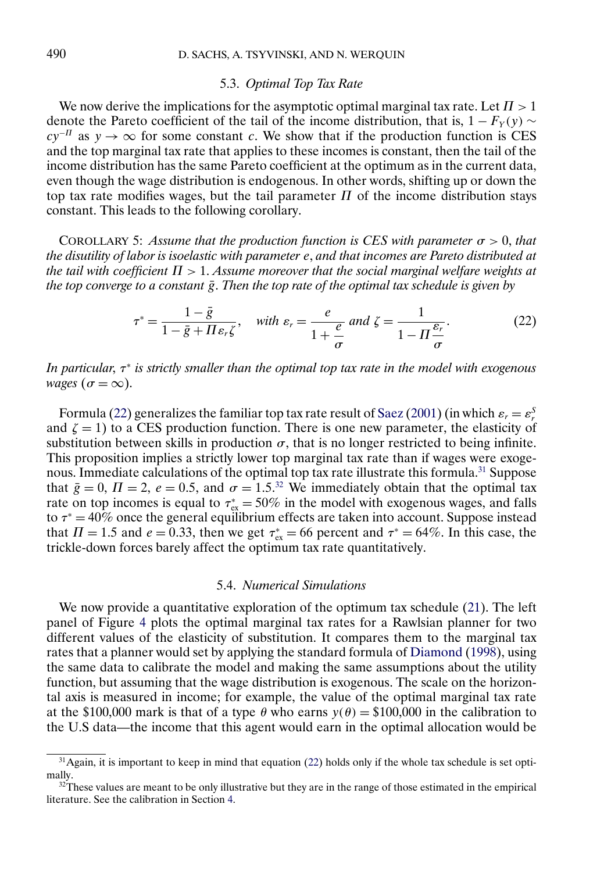# 5.3. *Optimal Top Tax Rate*

<span id="page-21-0"></span>We now derive the implications for the asymptotic optimal marginal tax rate. Let  $\Pi > 1$ denote the Pareto coefficient of the tail of the income distribution, that is,  $1 - F_Y(y) \sim$  $cy^{-H}$  as  $y \to \infty$  for some constant c. We show that if the production function is CES and the top marginal tax rate that applies to these incomes is constant, then the tail of the income distribution has the same Pareto coefficient at the optimum as in the current data, even though the wage distribution is endogenous. In other words, shifting up or down the top tax rate modifies wages, but the tail parameter  $\Pi$  of the income distribution stays constant. This leads to the following corollary.

COROLLARY 5: *Assume that the production function is CES with parameter*  $\sigma > 0$ , *that the disutility of labor is isoelastic with parameter* e, *and that incomes are Pareto distributed at the tail with coefficient* Π > 1. *Assume moreover that the social marginal welfare weights at the top converge to a constant*  $\bar{g}$ . *Then the top rate of the optimal tax schedule is given by* 

$$
\tau^* = \frac{1 - \bar{g}}{1 - \bar{g} + \Pi \varepsilon_r \zeta}, \quad \text{with } \varepsilon_r = \frac{e}{1 + \frac{e}{\sigma}} \text{ and } \zeta = \frac{1}{1 - \Pi \frac{\varepsilon_r}{\sigma}}. \tag{22}
$$

*In particular*, τ<sup>∗</sup> *is strictly smaller than the optimal top tax rate in the model with exogenous wages* ( $\sigma = \infty$ ).

Formula (22) generalizes the familiar top tax rate result of [Saez](#page-24-0) [\(2001\)](#page-24-0) (in which  $\varepsilon_r = \varepsilon_r^S$ and  $\zeta = 1$ ) to a CES production function. There is one new parameter, the elasticity of substitution between skills in production  $\sigma$ , that is no longer restricted to being infinite. This proposition implies a strictly lower top marginal tax rate than if wages were exogenous. Immediate calculations of the optimal top tax rate illustrate this formula.<sup>31</sup> Suppose that  $\bar{g} = 0$ ,  $\Pi = 2$ ,  $e = 0.5$ , and  $\sigma = 1.5^{32}$  We immediately obtain that the optimal tax rate on top incomes is equal to  $\tau_{ex}^* = 50\%$  in the model with exogenous wages, and falls to  $\tau^* = 40\%$  once the general equilibrium effects are taken into account. Suppose instead that  $\Pi = 1.5$  and  $e = 0.33$ , then we get  $\tau_{ex}^* = 66$  percent and  $\tau^* = 64\%$ . In this case, the trickle-down forces barely affect the optimum tax rate quantitatively.

### 5.4. *Numerical Simulations*

We now provide a quantitative exploration of the optimum tax schedule [\(21\)](#page-20-0). The left panel of Figure [4](#page-22-0) plots the optimal marginal tax rates for a Rawlsian planner for two different values of the elasticity of substitution. It compares them to the marginal tax rates that a planner would set by applying the standard formula of [Diamond](#page-23-0) [\(1998\)](#page-23-0), using the same data to calibrate the model and making the same assumptions about the utility function, but assuming that the wage distribution is exogenous. The scale on the horizontal axis is measured in income; for example, the value of the optimal marginal tax rate at the \$100,000 mark is that of a type  $\theta$  who earns  $y(\theta) = $100,000$  in the calibration to the U.S data—the income that this agent would earn in the optimal allocation would be

 $31$ Again, it is important to keep in mind that equation (22) holds only if the whole tax schedule is set optimally.

<sup>&</sup>lt;sup>32</sup>These values are meant to be only illustrative but they are in the range of those estimated in the empirical literature. See the calibration in Section [4.](#page-16-0)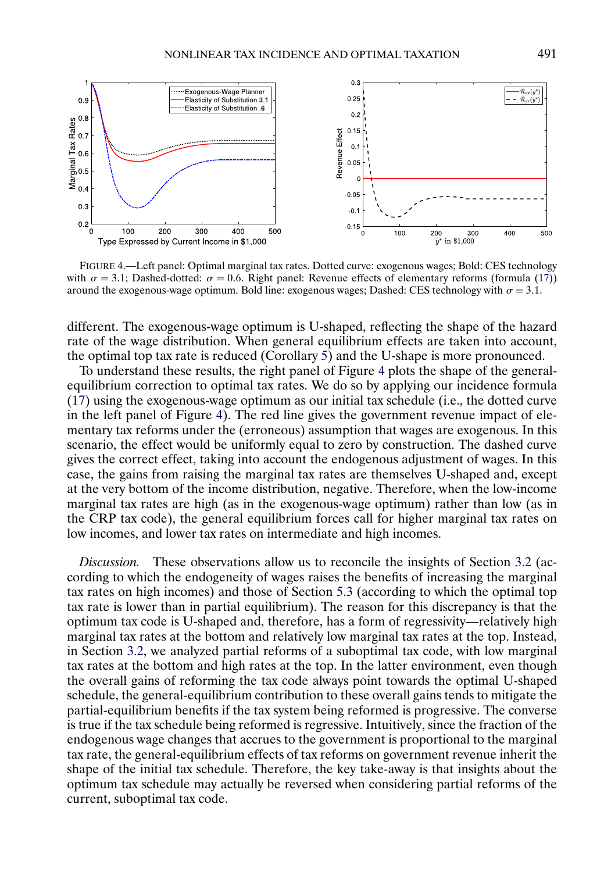<span id="page-22-0"></span>

FIGURE 4.—Left panel: Optimal marginal tax rates. Dotted curve: exogenous wages; Bold: CES technology with  $\sigma = 3.1$ ; Dashed-dotted:  $\sigma = 0.6$ . Right panel: Revenue effects of elementary reforms (formula [\(17\)](#page-13-0)) around the exogenous-wage optimum. Bold line: exogenous wages; Dashed: CES technology with  $\sigma = 3.1$ .

different. The exogenous-wage optimum is U-shaped, reflecting the shape of the hazard rate of the wage distribution. When general equilibrium effects are taken into account, the optimal top tax rate is reduced (Corollary  $5$ ) and the U-shape is more pronounced.

To understand these results, the right panel of Figure 4 plots the shape of the generalequilibrium correction to optimal tax rates. We do so by applying our incidence formula [\(17\)](#page-13-0) using the exogenous-wage optimum as our initial tax schedule (i.e., the dotted curve in the left panel of Figure 4). The red line gives the government revenue impact of elementary tax reforms under the (erroneous) assumption that wages are exogenous. In this scenario, the effect would be uniformly equal to zero by construction. The dashed curve gives the correct effect, taking into account the endogenous adjustment of wages. In this case, the gains from raising the marginal tax rates are themselves U-shaped and, except at the very bottom of the income distribution, negative. Therefore, when the low-income marginal tax rates are high (as in the exogenous-wage optimum) rather than low (as in the CRP tax code), the general equilibrium forces call for higher marginal tax rates on low incomes, and lower tax rates on intermediate and high incomes.

*Discussion.* These observations allow us to reconcile the insights of Section [3.2](#page-13-0) (according to which the endogeneity of wages raises the benefits of increasing the marginal tax rates on high incomes) and those of Section [5.3](#page-21-0) (according to which the optimal top tax rate is lower than in partial equilibrium). The reason for this discrepancy is that the optimum tax code is U-shaped and, therefore, has a form of regressivity—relatively high marginal tax rates at the bottom and relatively low marginal tax rates at the top. Instead, in Section [3.2,](#page-13-0) we analyzed partial reforms of a suboptimal tax code, with low marginal tax rates at the bottom and high rates at the top. In the latter environment, even though the overall gains of reforming the tax code always point towards the optimal U-shaped schedule, the general-equilibrium contribution to these overall gains tends to mitigate the partial-equilibrium benefits if the tax system being reformed is progressive. The converse is true if the tax schedule being reformed is regressive. Intuitively, since the fraction of the endogenous wage changes that accrues to the government is proportional to the marginal tax rate, the general-equilibrium effects of tax reforms on government revenue inherit the shape of the initial tax schedule. Therefore, the key take-away is that insights about the optimum tax schedule may actually be reversed when considering partial reforms of the current, suboptimal tax code.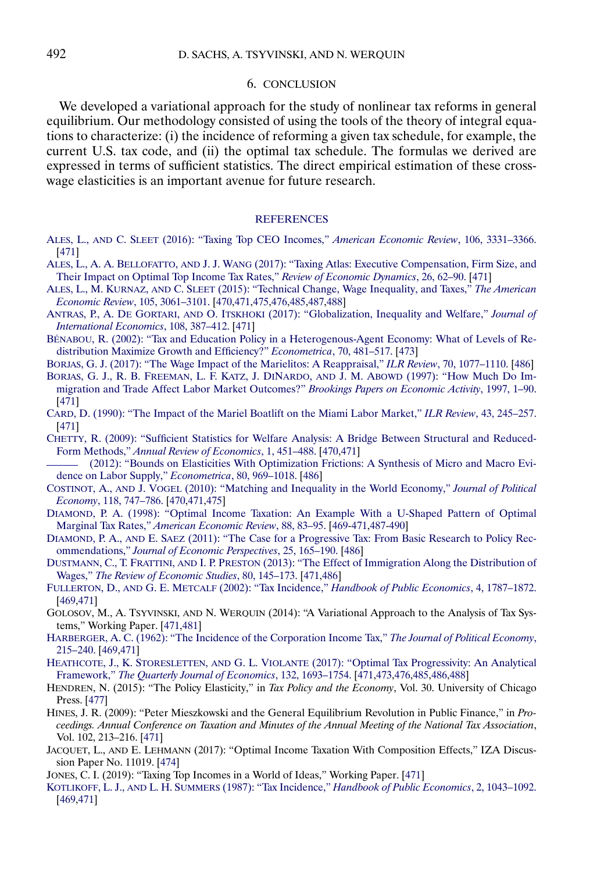#### 6. CONCLUSION

<span id="page-23-0"></span>We developed a variational approach for the study of nonlinear tax reforms in general equilibrium. Our methodology consisted of using the tools of the theory of integral equations to characterize: (i) the incidence of reforming a given tax schedule, for example, the current U.S. tax code, and (ii) the optimal tax schedule. The formulas we derived are expressed in terms of sufficient statistics. The direct empirical estimation of these crosswage elasticities is an important avenue for future research.

#### **[REFERENCES](http://www.e-publications.org/srv/ecta/linkserver/setprefs?rfe_id=urn:sici%2F0012-9682%282020%2988%3A2%3C469%3ANTIAOT%3E2.0.CO%3B2-W)**

- ALES, L., AND C. SLEET [\(2016\): "Taxing Top CEO Incomes,"](http://www.e-publications.org/srv/ecta/linkserver/openurl?rft_dat=bib:1/AlSlCEO&rfe_id=urn:sici%2F0012-9682%282020%2988%3A2%3C469%3ANTIAOT%3E2.0.CO%3B2-W) *American Economic Review*, 106, 3331–3366. [\[471\]](#page-2-0)
- ALES, L., A. A. BELLOFATTO, AND J. J. WANG [\(2017\): "Taxing Atlas: Executive Compensation, Firm Size, and](http://www.e-publications.org/srv/ecta/linkserver/openurl?rft_dat=bib:2/ales2017taxing&rfe_id=urn:sici%2F0012-9682%282020%2988%3A2%3C469%3ANTIAOT%3E2.0.CO%3B2-W) [Their Impact on Optimal Top Income Tax Rates,"](http://www.e-publications.org/srv/ecta/linkserver/openurl?rft_dat=bib:2/ales2017taxing&rfe_id=urn:sici%2F0012-9682%282020%2988%3A2%3C469%3ANTIAOT%3E2.0.CO%3B2-W) *Review of Economic Dynamics*, 26, 62–90. [\[471\]](#page-2-0)
- ALES, L., M. KURNAZ, AND C. SLEET [\(2015\): "Technical Change, Wage Inequality, and Taxes,"](http://www.e-publications.org/srv/ecta/linkserver/openurl?rft_dat=bib:3/Ales&rfe_id=urn:sici%2F0012-9682%282020%2988%3A2%3C469%3ANTIAOT%3E2.0.CO%3B2-W) *The American [Economic Review](http://www.e-publications.org/srv/ecta/linkserver/openurl?rft_dat=bib:3/Ales&rfe_id=urn:sici%2F0012-9682%282020%2988%3A2%3C469%3ANTIAOT%3E2.0.CO%3B2-W)*, 105, 3061–3101. [\[470,](#page-1-0)[471,](#page-2-0)[475,](#page-6-0)[476](#page-7-0)[,485](#page-16-0)[,487,](#page-18-0)[488\]](#page-19-0)

ANTRAS, P., A. DE GORTARI, AND O. ITSKHOKI [\(2017\): "Globalization, Inequality and Welfare,"](http://www.e-publications.org/srv/ecta/linkserver/openurl?rft_dat=bib:4/antras2015inequality&rfe_id=urn:sici%2F0012-9682%282020%2988%3A2%3C469%3ANTIAOT%3E2.0.CO%3B2-W) *Journal of [International Economics](http://www.e-publications.org/srv/ecta/linkserver/openurl?rft_dat=bib:4/antras2015inequality&rfe_id=urn:sici%2F0012-9682%282020%2988%3A2%3C469%3ANTIAOT%3E2.0.CO%3B2-W)*, 108, 387–412. [\[471\]](#page-2-0)

- [BÉNABOU, R. \(2002\): "Tax and Education Policy in a Heterogenous-Agent Economy: What of Levels of Re](http://www.e-publications.org/srv/ecta/linkserver/openurl?rft_dat=bib:5/Be02&rfe_id=urn:sici%2F0012-9682%282020%2988%3A2%3C469%3ANTIAOT%3E2.0.CO%3B2-W)[distribution Maximize Growth and Efficiency?"](http://www.e-publications.org/srv/ecta/linkserver/openurl?rft_dat=bib:5/Be02&rfe_id=urn:sici%2F0012-9682%282020%2988%3A2%3C469%3ANTIAOT%3E2.0.CO%3B2-W) *Econometrica*, 70, 481–517. [\[473\]](#page-4-0)
- [BORJAS, G. J. \(2017\): "The Wage Impact of the Marielitos: A Reappraisal,"](http://www.e-publications.org/srv/ecta/linkserver/openurl?rft_dat=bib:6/borjas2015wage&rfe_id=urn:sici%2F0012-9682%282020%2988%3A2%3C469%3ANTIAOT%3E2.0.CO%3B2-W) *ILR Review*, 70, 1077–1110. [\[486\]](#page-17-0)
- [BORJAS, G. J., R. B. FREEMAN, L. F. KATZ, J. DINARDO,](http://www.e-publications.org/srv/ecta/linkserver/openurl?rft_dat=bib:7/borjas1997much&rfe_id=urn:sici%2F0012-9682%282020%2988%3A2%3C469%3ANTIAOT%3E2.0.CO%3B2-W) AND J. M. ABOWD (1997): "How Much Do Im[migration and Trade Affect Labor Market Outcomes?"](http://www.e-publications.org/srv/ecta/linkserver/openurl?rft_dat=bib:7/borjas1997much&rfe_id=urn:sici%2F0012-9682%282020%2988%3A2%3C469%3ANTIAOT%3E2.0.CO%3B2-W) *Brookings Papers on Economic Activity*, 1997, 1–90. [\[471\]](#page-2-0)
- [CARD, D. \(1990\): "The Impact of the Mariel Boatlift on the Miami Labor Market,"](http://www.e-publications.org/srv/ecta/linkserver/openurl?rft_dat=bib:8/card1990impact&rfe_id=urn:sici%2F0012-9682%282020%2988%3A2%3C469%3ANTIAOT%3E2.0.CO%3B2-W) *ILR Review*, 43, 245–257. [\[471\]](#page-2-0)
- [CHETTY, R. \(2009\): "Sufficient Statistics for Welfare Analysis: A Bridge Between Structural and Reduced-](http://www.e-publications.org/srv/ecta/linkserver/openurl?rft_dat=bib:9/Che09&rfe_id=urn:sici%2F0012-9682%282020%2988%3A2%3C469%3ANTIAOT%3E2.0.CO%3B2-W)Form Methods," *[Annual Review of Economics](http://www.e-publications.org/srv/ecta/linkserver/openurl?rft_dat=bib:9/Che09&rfe_id=urn:sici%2F0012-9682%282020%2988%3A2%3C469%3ANTIAOT%3E2.0.CO%3B2-W)*, 1, 451–488. [\[470](#page-1-0)[,471\]](#page-2-0)
- [\(2012\): "Bounds on Elasticities With Optimization Frictions: A Synthesis of Micro and Macro Evi](http://www.e-publications.org/srv/ecta/linkserver/openurl?rft_dat=bib:10/chetty12&rfe_id=urn:sici%2F0012-9682%282020%2988%3A2%3C469%3ANTIAOT%3E2.0.CO%3B2-W)[dence on Labor Supply,"](http://www.e-publications.org/srv/ecta/linkserver/openurl?rft_dat=bib:10/chetty12&rfe_id=urn:sici%2F0012-9682%282020%2988%3A2%3C469%3ANTIAOT%3E2.0.CO%3B2-W) *Econometrica*, 80, 969–1018. [\[486\]](#page-17-0)
- COSTINOT, A., AND J. VOGEL [\(2010\): "Matching and Inequality in the World Economy,"](http://www.e-publications.org/srv/ecta/linkserver/openurl?rft_dat=bib:11/costinot2010matching&rfe_id=urn:sici%2F0012-9682%282020%2988%3A2%3C469%3ANTIAOT%3E2.0.CO%3B2-W) *Journal of Political Economy*[, 118, 747–786.](http://www.e-publications.org/srv/ecta/linkserver/openurl?rft_dat=bib:11/costinot2010matching&rfe_id=urn:sici%2F0012-9682%282020%2988%3A2%3C469%3ANTIAOT%3E2.0.CO%3B2-W) [\[470](#page-1-0)[,471](#page-2-0)[,475\]](#page-6-0)
- [DIAMOND, P. A. \(1998\): "Optimal Income Taxation: An Example With a U-Shaped Pattern of Optimal](http://www.e-publications.org/srv/ecta/linkserver/openurl?rft_dat=bib:12/Di98&rfe_id=urn:sici%2F0012-9682%282020%2988%3A2%3C469%3ANTIAOT%3E2.0.CO%3B2-W) Marginal Tax Rates," *[American Economic Review](http://www.e-publications.org/srv/ecta/linkserver/openurl?rft_dat=bib:12/Di98&rfe_id=urn:sici%2F0012-9682%282020%2988%3A2%3C469%3ANTIAOT%3E2.0.CO%3B2-W)*, 88, 83–95. [\[469](#page-0-0)[-471,](#page-2-0)[487-](#page-18-0)[490\]](#page-21-0)
- DIAMOND, P. A., AND E. SAEZ [\(2011\): "The Case for a Progressive Tax: From Basic Research to Policy Rec](http://www.e-publications.org/srv/ecta/linkserver/openurl?rft_dat=bib:13/DiSa11&rfe_id=urn:sici%2F0012-9682%282020%2988%3A2%3C469%3ANTIAOT%3E2.0.CO%3B2-W)ommendations," *[Journal of Economic Perspectives](http://www.e-publications.org/srv/ecta/linkserver/openurl?rft_dat=bib:13/DiSa11&rfe_id=urn:sici%2F0012-9682%282020%2988%3A2%3C469%3ANTIAOT%3E2.0.CO%3B2-W)*, 25, 165–190. [\[486\]](#page-17-0)

DUSTMANN, C., T. FRATTINI, AND I. P. PRESTON [\(2013\): "The Effect of Immigration Along the Distribution of](http://www.e-publications.org/srv/ecta/linkserver/openurl?rft_dat=bib:14/Duetal13&rfe_id=urn:sici%2F0012-9682%282020%2988%3A2%3C469%3ANTIAOT%3E2.0.CO%3B2-W) Wages," *[The Review of Economic Studies](http://www.e-publications.org/srv/ecta/linkserver/openurl?rft_dat=bib:14/Duetal13&rfe_id=urn:sici%2F0012-9682%282020%2988%3A2%3C469%3ANTIAOT%3E2.0.CO%3B2-W)*, 80, 145–173. [\[471](#page-2-0)[,486\]](#page-17-0)

- FULLERTON, D., AND G. E. METCALF (2002): "Tax Incidence," *[Handbook of Public Economics](http://www.e-publications.org/srv/ecta/linkserver/openurl?rft_dat=bib:15/fullerton2002tax&rfe_id=urn:sici%2F0012-9682%282020%2988%3A2%3C469%3ANTIAOT%3E2.0.CO%3B2-W)*, 4, 1787–1872. [\[469,](#page-0-0)[471\]](#page-2-0)
- GOLOSOV, M., A. TSYVINSKI, AND N. WERQUIN (2014): "A Variational Approach to the Analysis of Tax Systems," Working Paper. [\[471,](#page-2-0)[481\]](#page-12-0)
- [HARBERGER, A. C. \(1962\): "The Incidence of the Corporation Income Tax,"](http://www.e-publications.org/srv/ecta/linkserver/openurl?rft_dat=bib:17/harberger1962incidence&rfe_id=urn:sici%2F0012-9682%282020%2988%3A2%3C469%3ANTIAOT%3E2.0.CO%3B2-W) *The Journal of Political Economy*, [215–240.](http://www.e-publications.org/srv/ecta/linkserver/openurl?rft_dat=bib:17/harberger1962incidence&rfe_id=urn:sici%2F0012-9682%282020%2988%3A2%3C469%3ANTIAOT%3E2.0.CO%3B2-W) [\[469,](#page-0-0)[471\]](#page-2-0)
- HEATHCOTE, J., K. STORESLETTEN, AND G. L. VIOLANTE [\(2017\): "Optimal Tax Progressivity: An Analytical](http://www.e-publications.org/srv/ecta/linkserver/openurl?rft_dat=bib:18/HSV14&rfe_id=urn:sici%2F0012-9682%282020%2988%3A2%3C469%3ANTIAOT%3E2.0.CO%3B2-W) Framework," *[The Quarterly Journal of Economics](http://www.e-publications.org/srv/ecta/linkserver/openurl?rft_dat=bib:18/HSV14&rfe_id=urn:sici%2F0012-9682%282020%2988%3A2%3C469%3ANTIAOT%3E2.0.CO%3B2-W)*, 132, 1693–1754. [\[471,](#page-2-0)[473,](#page-4-0)[476](#page-7-0)[,485](#page-16-0)[,486](#page-17-0)[,488\]](#page-19-0)
- HENDREN, N. (2015): "The Policy Elasticity," in *Tax Policy and the Economy*, Vol. 30. University of Chicago Press. [\[477\]](#page-8-0)
- HINES, J. R. (2009): "Peter Mieszkowski and the General Equilibrium Revolution in Public Finance," in *Proceedings. Annual Conference on Taxation and Minutes of the Annual Meeting of the National Tax Association*, Vol. 102, 213–216. [\[471\]](#page-2-0)
- JACQUET, L., AND E. LEHMANN (2017): "Optimal Income Taxation With Composition Effects," IZA Discussion Paper No. 11019. [\[474\]](#page-5-0)
- JONES, C. I. (2019): "Taxing Top Incomes in a World of Ideas," Working Paper. [\[471\]](#page-2-0)
- KOTLIKOFF, L. J., AND L. H. SUMMERS (1987): "Tax Incidence," *[Handbook of Public Economics](http://www.e-publications.org/srv/ecta/linkserver/openurl?rft_dat=bib:23/kotlikoff1987tax&rfe_id=urn:sici%2F0012-9682%282020%2988%3A2%3C469%3ANTIAOT%3E2.0.CO%3B2-W)*, 2, 1043–1092. [\[469,](#page-0-0)[471\]](#page-2-0)